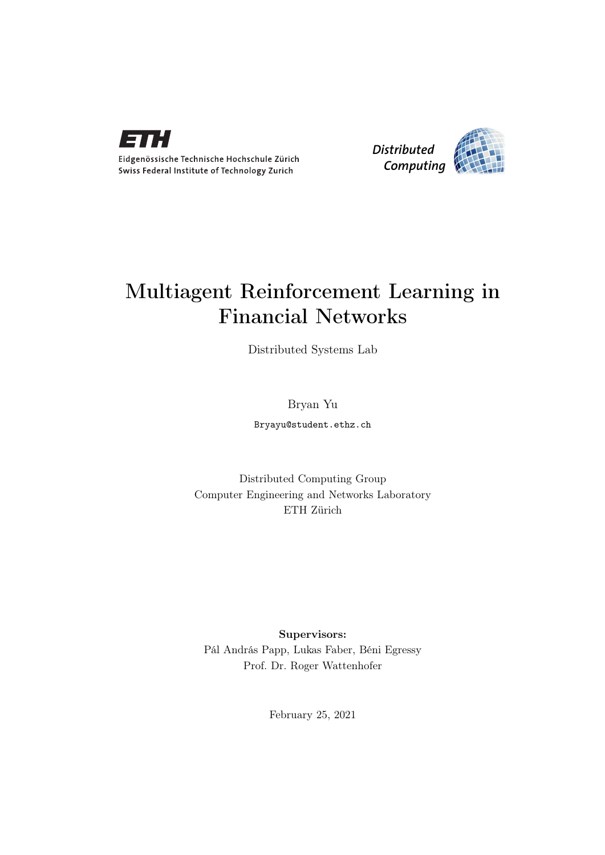

Eidgenössische Technische Hochschule Zürich Swiss Federal Institute of Technology Zurich



## Multiagent Reinforcement Learning in Financial Networks

Distributed Systems Lab

Bryan Yu

Bryayu@student.ethz.ch

Distributed Computing Group Computer Engineering and Networks Laboratory ETH Zürich

Supervisors: Pál András Papp, Lukas Faber, Béni Egressy Prof. Dr. Roger Wattenhofer

February 25, 2021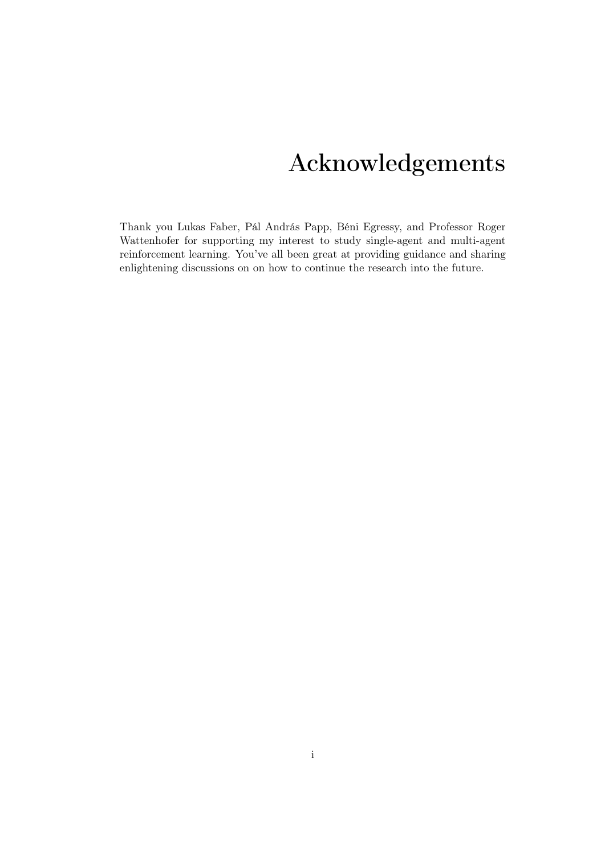# Acknowledgements

<span id="page-1-0"></span>Thank you Lukas Faber, Pál András Papp, Béni Egressy, and Professor Roger Wattenhofer for supporting my interest to study single-agent and multi-agent reinforcement learning. You've all been great at providing guidance and sharing enlightening discussions on on how to continue the research into the future.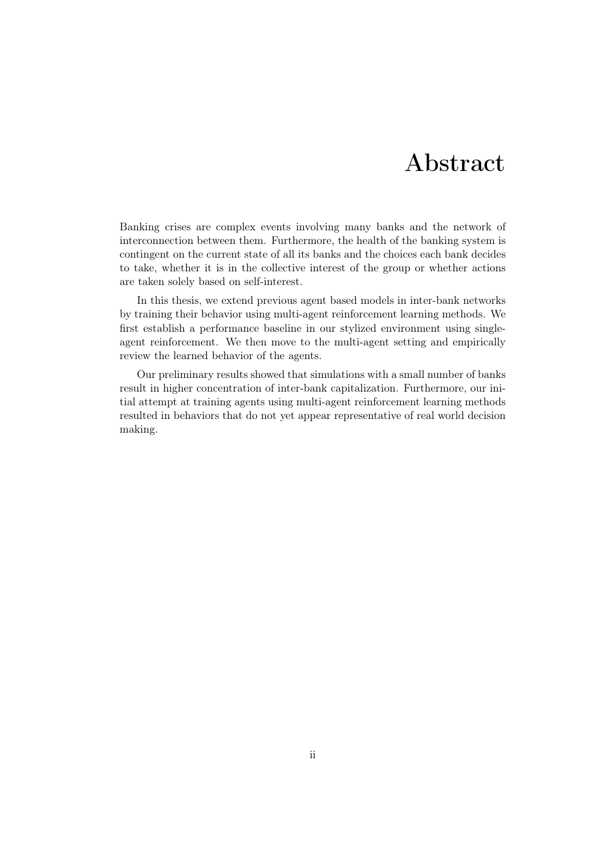## Abstract

<span id="page-2-0"></span>Banking crises are complex events involving many banks and the network of interconnection between them. Furthermore, the health of the banking system is contingent on the current state of all its banks and the choices each bank decides to take, whether it is in the collective interest of the group or whether actions are taken solely based on self-interest.

In this thesis, we extend previous agent based models in inter-bank networks by training their behavior using multi-agent reinforcement learning methods. We first establish a performance baseline in our stylized environment using singleagent reinforcement. We then move to the multi-agent setting and empirically review the learned behavior of the agents.

Our preliminary results showed that simulations with a small number of banks result in higher concentration of inter-bank capitalization. Furthermore, our initial attempt at training agents using multi-agent reinforcement learning methods resulted in behaviors that do not yet appear representative of real world decision making.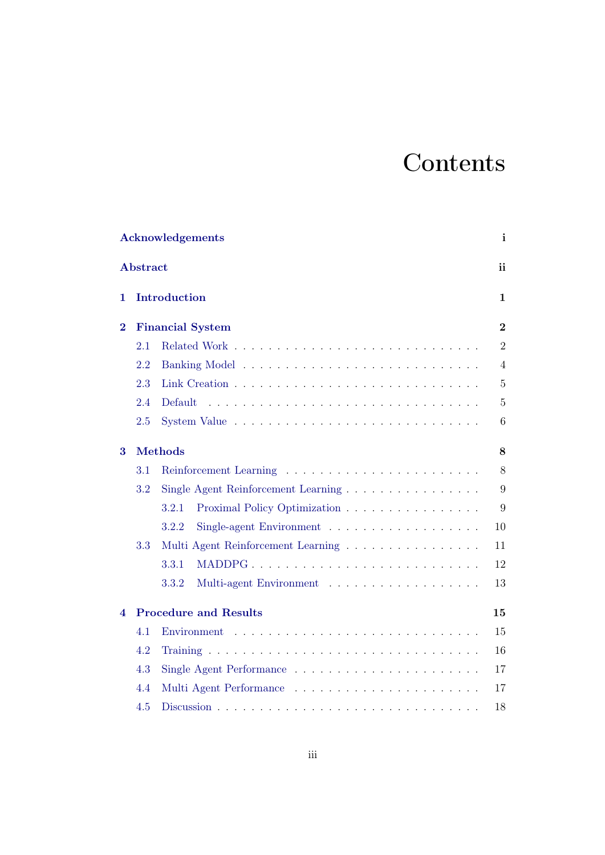# **Contents**

|                | Acknowledgements<br>$\mathbf{i}$ |                                       |                |  |  |
|----------------|----------------------------------|---------------------------------------|----------------|--|--|
|                | Abstract                         |                                       | ii             |  |  |
| 1              |                                  | Introduction                          | $\mathbf{1}$   |  |  |
| $\overline{2}$ |                                  | <b>Financial System</b>               | $\overline{2}$ |  |  |
|                | 2.1                              |                                       | $\overline{2}$ |  |  |
|                | 2.2                              |                                       | $\overline{4}$ |  |  |
|                | 2.3                              |                                       | $\overline{5}$ |  |  |
|                | 2.4                              | Default                               | $\overline{5}$ |  |  |
|                | 2.5                              |                                       | 6              |  |  |
| 3              |                                  | <b>Methods</b>                        | 8              |  |  |
|                | 3.1                              |                                       | 8              |  |  |
|                | 3.2                              | Single Agent Reinforcement Learning   | 9              |  |  |
|                |                                  | 3.2.1<br>Proximal Policy Optimization | 9              |  |  |
|                |                                  | 3.2.2<br>Single-agent Environment     | 10             |  |  |
|                | 3.3                              | Multi Agent Reinforcement Learning    | 11             |  |  |
|                |                                  | 3.3.1                                 | 12             |  |  |
|                |                                  | Multi-agent Environment<br>3.3.2      | 13             |  |  |
| 4              |                                  | <b>Procedure and Results</b>          | 15             |  |  |
|                | 4.1                              |                                       | 15             |  |  |
|                | 4.2                              |                                       | 16             |  |  |
|                | 4.3                              |                                       | 17             |  |  |
|                | 4.4                              |                                       | 17             |  |  |
|                | 4.5                              |                                       | 18             |  |  |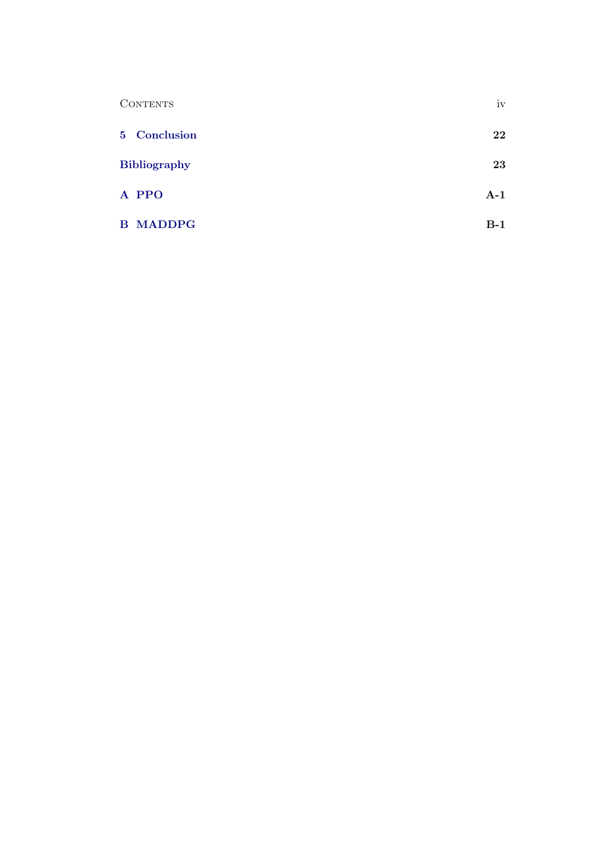| <b>CONTENTS</b>     | iv    |
|---------------------|-------|
| 5 Conclusion        | 22    |
| <b>Bibliography</b> | 23    |
| A PPO               | $A-1$ |
| <b>B MADDPG</b>     | $B-1$ |
|                     |       |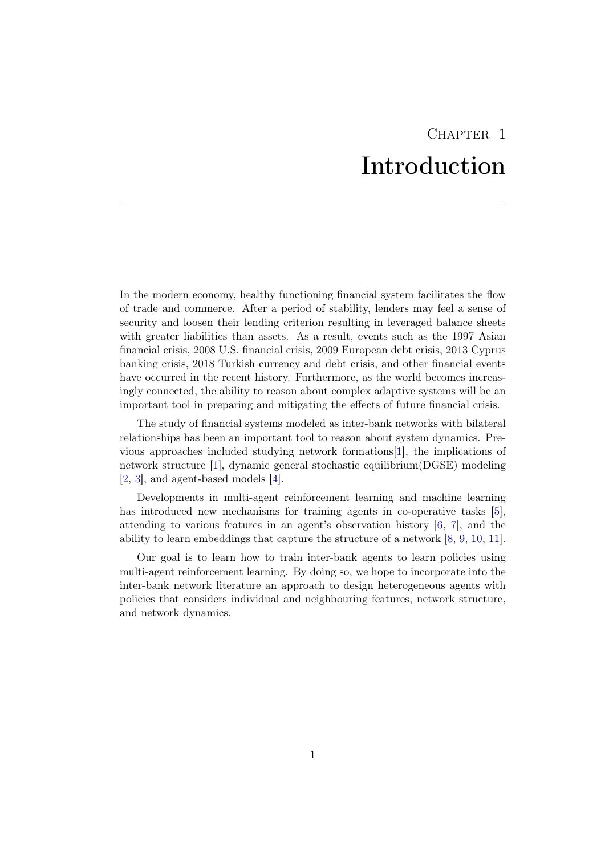# CHAPTER<sub>1</sub> Introduction

<span id="page-5-0"></span>In the modern economy, healthy functioning financial system facilitates the flow of trade and commerce. After a period of stability, lenders may feel a sense of security and loosen their lending criterion resulting in leveraged balance sheets with greater liabilities than assets. As a result, events such as the 1997 Asian financial crisis, 2008 U.S. financial crisis, 2009 European debt crisis, 2013 Cyprus banking crisis, 2018 Turkish currency and debt crisis, and other financial events have occurred in the recent history. Furthermore, as the world becomes increasingly connected, the ability to reason about complex adaptive systems will be an important tool in preparing and mitigating the effects of future financial crisis.

The study of financial systems modeled as inter-bank networks with bilateral relationships has been an important tool to reason about system dynamics. Previous approaches included studying network formations[\[1\]](#page-27-1), the implications of network structure [\[1\]](#page-27-1), dynamic general stochastic equilibrium(DGSE) modeling [\[2,](#page-27-2) [3\]](#page-27-3), and agent-based models [\[4\]](#page-27-4).

Developments in multi-agent reinforcement learning and machine learning has introduced new mechanisms for training agents in co-operative tasks [\[5\]](#page-27-5), attending to various features in an agent's observation history [\[6,](#page-27-6) [7\]](#page-27-7), and the ability to learn embeddings that capture the structure of a network [\[8,](#page-27-8) [9,](#page-27-9) [10,](#page-27-10) [11\]](#page-27-11).

Our goal is to learn how to train inter-bank agents to learn policies using multi-agent reinforcement learning. By doing so, we hope to incorporate into the inter-bank network literature an approach to design heterogeneous agents with policies that considers individual and neighbouring features, network structure, and network dynamics.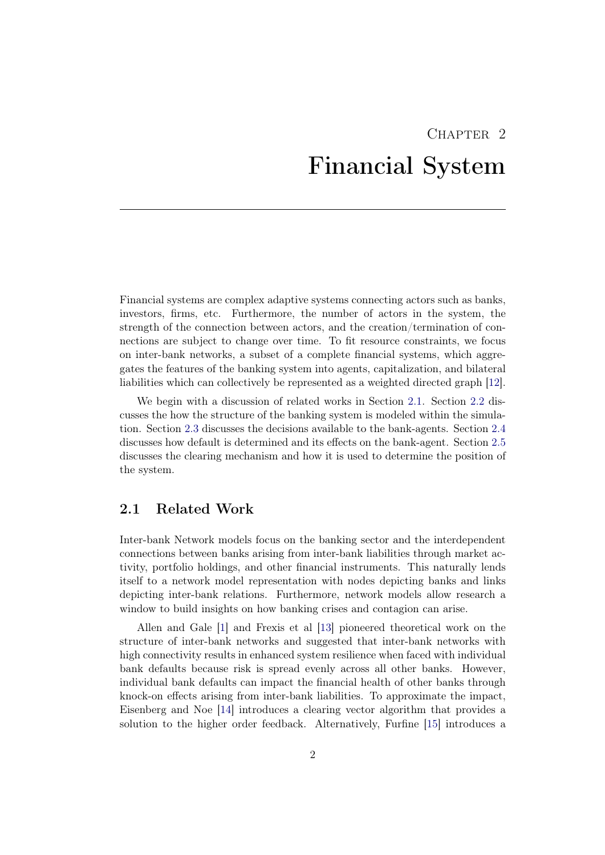# CHAPTER<sub>2</sub> Financial System

<span id="page-6-0"></span>Financial systems are complex adaptive systems connecting actors such as banks, investors, firms, etc. Furthermore, the number of actors in the system, the strength of the connection between actors, and the creation/termination of connections are subject to change over time. To fit resource constraints, we focus on inter-bank networks, a subset of a complete financial systems, which aggregates the features of the banking system into agents, capitalization, and bilateral liabilities which can collectively be represented as a weighted directed graph [\[12\]](#page-28-0).

We begin with a discussion of related works in Section [2.1.](#page-6-1) Section [2.2](#page-8-0) discusses the how the structure of the banking system is modeled within the simulation. Section [2.3](#page-9-0) discusses the decisions available to the bank-agents. Section [2.4](#page-9-1) discusses how default is determined and its effects on the bank-agent. Section [2.5](#page-10-0) discusses the clearing mechanism and how it is used to determine the position of the system.

### <span id="page-6-1"></span>2.1 Related Work

Inter-bank Network models focus on the banking sector and the interdependent connections between banks arising from inter-bank liabilities through market activity, portfolio holdings, and other financial instruments. This naturally lends itself to a network model representation with nodes depicting banks and links depicting inter-bank relations. Furthermore, network models allow research a window to build insights on how banking crises and contagion can arise.

Allen and Gale [\[1\]](#page-27-1) and Frexis et al [\[13\]](#page-28-1) pioneered theoretical work on the structure of inter-bank networks and suggested that inter-bank networks with high connectivity results in enhanced system resilience when faced with individual bank defaults because risk is spread evenly across all other banks. However, individual bank defaults can impact the financial health of other banks through knock-on effects arising from inter-bank liabilities. To approximate the impact, Eisenberg and Noe [\[14\]](#page-28-2) introduces a clearing vector algorithm that provides a solution to the higher order feedback. Alternatively, Furfine [\[15\]](#page-28-3) introduces a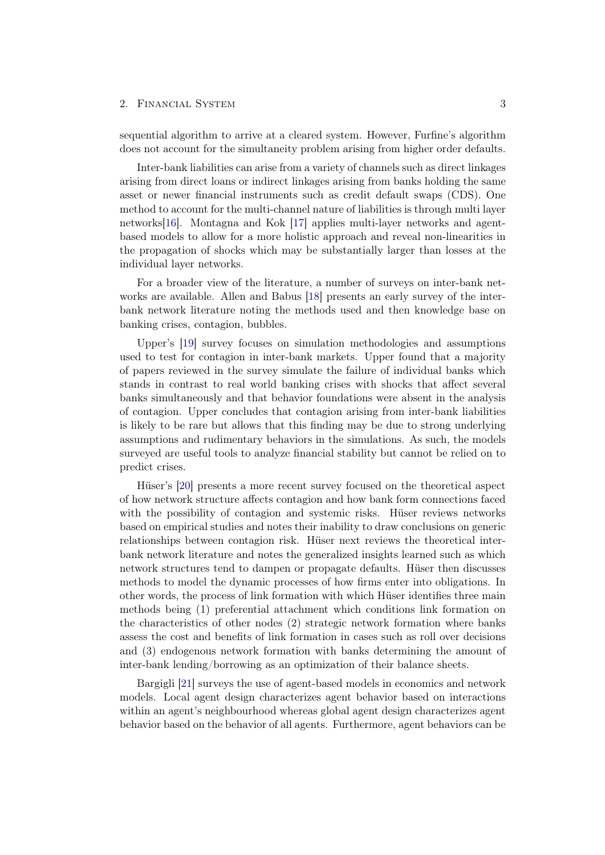#### 2. FINANCIAL SYSTEM 3

sequential algorithm to arrive at a cleared system. However, Furfine's algorithm does not account for the simultaneity problem arising from higher order defaults.

Inter-bank liabilities can arise from a variety of channels such as direct linkages arising from direct loans or indirect linkages arising from banks holding the same asset or newer financial instruments such as credit default swaps (CDS). One method to account for the multi-channel nature of liabilities is through multi layer networks[\[16\]](#page-28-4). Montagna and Kok [\[17\]](#page-28-5) applies multi-layer networks and agentbased models to allow for a more holistic approach and reveal non-linearities in the propagation of shocks which may be substantially larger than losses at the individual layer networks.

For a broader view of the literature, a number of surveys on inter-bank networks are available. Allen and Babus [\[18\]](#page-28-6) presents an early survey of the interbank network literature noting the methods used and then knowledge base on banking crises, contagion, bubbles.

Upper's [\[19\]](#page-28-7) survey focuses on simulation methodologies and assumptions used to test for contagion in inter-bank markets. Upper found that a majority of papers reviewed in the survey simulate the failure of individual banks which stands in contrast to real world banking crises with shocks that affect several banks simultaneously and that behavior foundations were absent in the analysis of contagion. Upper concludes that contagion arising from inter-bank liabilities is likely to be rare but allows that this finding may be due to strong underlying assumptions and rudimentary behaviors in the simulations. As such, the models surveyed are useful tools to analyze financial stability but cannot be relied on to predict crises.

Hüser's [\[20\]](#page-28-8) presents a more recent survey focused on the theoretical aspect of how network structure affects contagion and how bank form connections faced with the possibility of contagion and systemic risks. Hüser reviews networks based on empirical studies and notes their inability to draw conclusions on generic relationships between contagion risk. Hüser next reviews the theoretical interbank network literature and notes the generalized insights learned such as which network structures tend to dampen or propagate defaults. Hüser then discusses methods to model the dynamic processes of how firms enter into obligations. In other words, the process of link formation with which Hüser identifies three main methods being (1) preferential attachment which conditions link formation on the characteristics of other nodes (2) strategic network formation where banks assess the cost and benefits of link formation in cases such as roll over decisions and (3) endogenous network formation with banks determining the amount of inter-bank lending/borrowing as an optimization of their balance sheets.

Bargigli [\[21\]](#page-28-9) surveys the use of agent-based models in economics and network models. Local agent design characterizes agent behavior based on interactions within an agent's neighbourhood whereas global agent design characterizes agent behavior based on the behavior of all agents. Furthermore, agent behaviors can be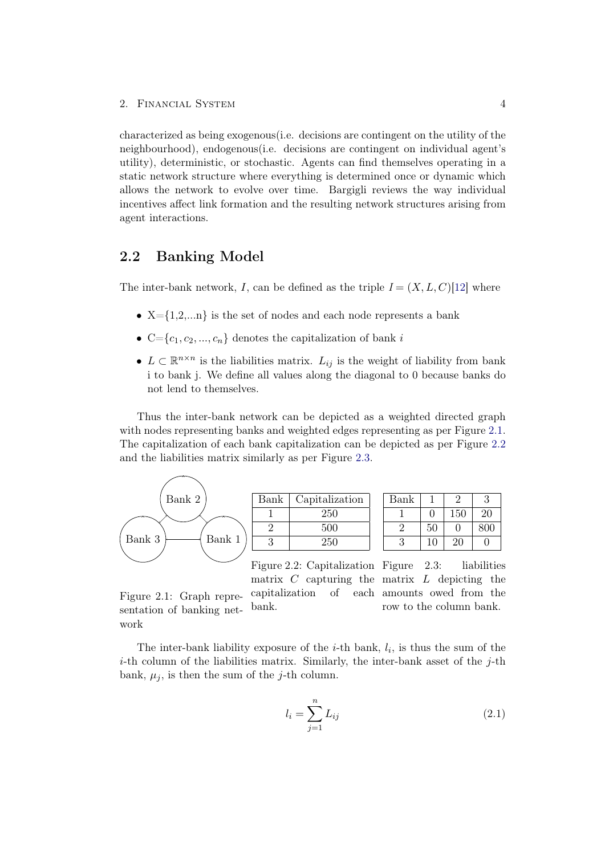characterized as being exogenous(i.e. decisions are contingent on the utility of the neighbourhood), endogenous(i.e. decisions are contingent on individual agent's utility), deterministic, or stochastic. Agents can find themselves operating in a static network structure where everything is determined once or dynamic which allows the network to evolve over time. Bargigli reviews the way individual incentives affect link formation and the resulting network structures arising from agent interactions.

### <span id="page-8-0"></span>2.2 Banking Model

The inter-bank network, I, can be defined as the triple  $I = (X, L, C)$ [\[12\]](#page-28-0) where

- $X = \{1, 2, \ldots n\}$  is the set of nodes and each node represents a bank
- C={ $c_1, c_2, ..., c_n$ } denotes the capitalization of bank i
- $L \subset \mathbb{R}^{n \times n}$  is the liabilities matrix.  $L_{ij}$  is the weight of liability from bank i to bank j. We define all values along the diagonal to 0 because banks do not lend to themselves.

Thus the inter-bank network can be depicted as a weighted directed graph with nodes representing banks and weighted edges representing as per Figure [2.1.](#page-8-1) The capitalization of each bank capitalization can be depicted as per Figure [2.2](#page-8-2) and the liabilities matrix similarly as per Figure [2.3.](#page-8-3)



<span id="page-8-1"></span>Figure 2.1: Graph representation of banking net-

work

<span id="page-8-3"></span><span id="page-8-2"></span>

| Bank |                  |     |     |
|------|------------------|-----|-----|
|      | ۱                | 150 | 20  |
|      | 50               |     | 800 |
|      | $\left( \right)$ |     |     |

capitalization of bank.

Figure 2.2: Capitalization Figure 2.3: liabilities matrix  $C$  capturing the matrix  $L$  depicting the amounts owed from the row to the column bank.

The inter-bank liability exposure of the  $i$ -th bank,  $l_i$ , is thus the sum of the  $i$ -th column of the liabilities matrix. Similarly, the inter-bank asset of the  $j$ -th bank,  $\mu_i$ , is then the sum of the j-th column.

$$
l_i = \sum_{j=1}^{n} L_{ij}
$$
 (2.1)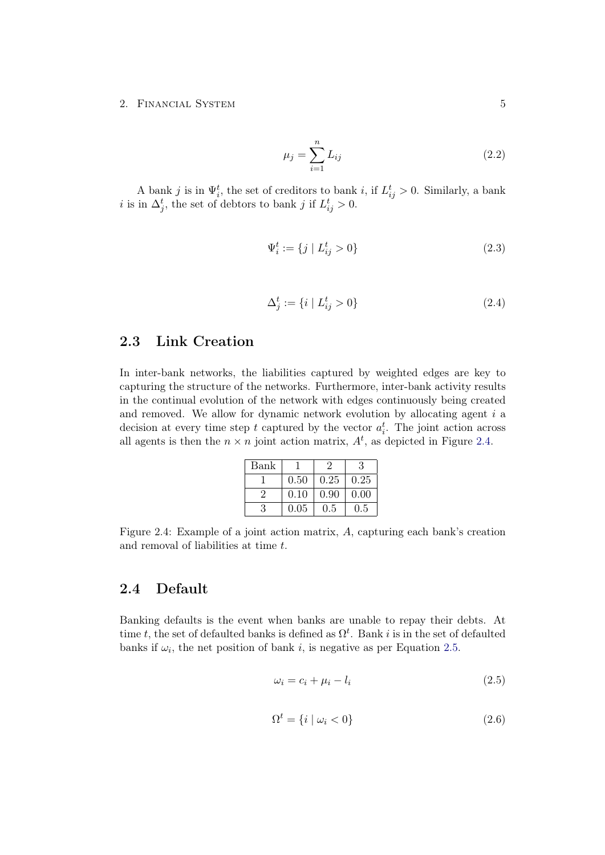#### 2. FINANCIAL SYSTEM 5

$$
\mu_j = \sum_{i=1}^n L_{ij} \tag{2.2}
$$

A bank j is in  $\Psi_i^t$ , the set of creditors to bank i, if  $L_{ij}^t > 0$ . Similarly, a bank *i* is in  $\Delta_j^t$ , the set of debtors to bank *j* if  $L_{ij}^t > 0$ .

$$
\Psi_i^t := \{ j \mid L_{ij}^t > 0 \}
$$
\n(2.3)

$$
\Delta_j^t := \{ i \mid L_{ij}^t > 0 \}
$$
\n(2.4)

### <span id="page-9-0"></span>2.3 Link Creation

In inter-bank networks, the liabilities captured by weighted edges are key to capturing the structure of the networks. Furthermore, inter-bank activity results in the continual evolution of the network with edges continuously being created and removed. We allow for dynamic network evolution by allocating agent i a decision at every time step t captured by the vector  $a_i^t$ . The joint action across all agents is then the  $n \times n$  joint action matrix,  $A<sup>t</sup>$ , as depicted in Figure [2.4.](#page-9-2)

<span id="page-9-2"></span>

| Bank |      |      | З    |
|------|------|------|------|
|      | 0.50 | 0.25 | 0.25 |
| 9    | 0.10 | 0.90 | 0.00 |
|      | 0.05 | 0.5  | 0.5  |

Figure 2.4: Example of a joint action matrix, A, capturing each bank's creation and removal of liabilities at time t.

### <span id="page-9-1"></span>2.4 Default

Banking defaults is the event when banks are unable to repay their debts. At time t, the set of defaulted banks is defined as  $\Omega^t$ . Bank i is in the set of defaulted banks if  $\omega_i$ , the net position of bank i, is negative as per Equation [2.5.](#page-9-3)

<span id="page-9-3"></span>
$$
\omega_i = c_i + \mu_i - l_i \tag{2.5}
$$

$$
\Omega^t = \{ i \mid \omega_i < 0 \} \tag{2.6}
$$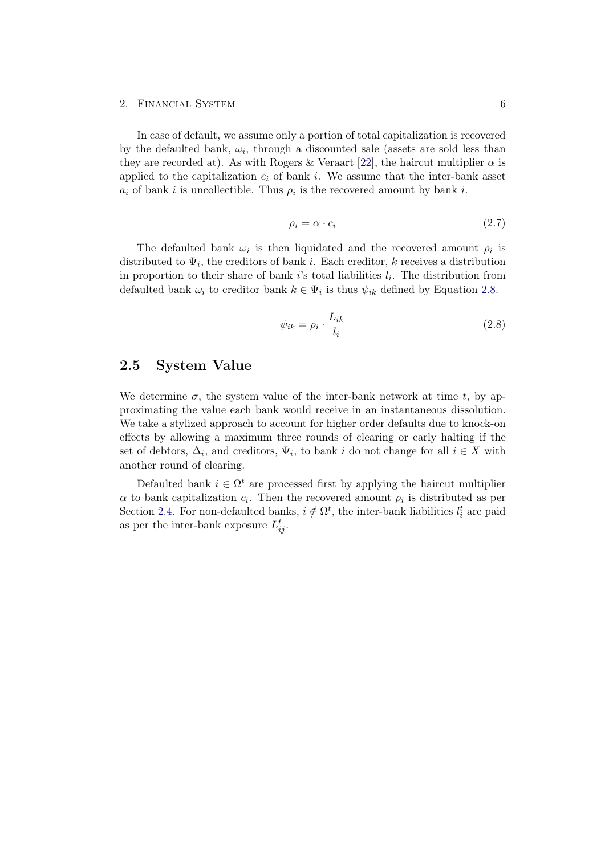#### 2. Financial System 6

In case of default, we assume only a portion of total capitalization is recovered by the defaulted bank,  $\omega_i$ , through a discounted sale (assets are sold less than they are recorded at). As with Rogers & Veraart [\[22\]](#page-28-10), the haircut multiplier  $\alpha$  is applied to the capitalization  $c_i$  of bank i. We assume that the inter-bank asset  $a_i$  of bank i is uncollectible. Thus  $\rho_i$  is the recovered amount by bank i.

$$
\rho_i = \alpha \cdot c_i \tag{2.7}
$$

The defaulted bank  $\omega_i$  is then liquidated and the recovered amount  $\rho_i$  is distributed to  $\Psi_i$ , the creditors of bank i. Each creditor, k receives a distribution in proportion to their share of bank i's total liabilities  $l_i$ . The distribution from defaulted bank  $\omega_i$  to creditor bank  $k \in \Psi_i$  is thus  $\psi_{ik}$  defined by Equation [2.8.](#page-10-1)

<span id="page-10-1"></span>
$$
\psi_{ik} = \rho_i \cdot \frac{L_{ik}}{l_i} \tag{2.8}
$$

### <span id="page-10-0"></span>2.5 System Value

We determine  $\sigma$ , the system value of the inter-bank network at time t, by approximating the value each bank would receive in an instantaneous dissolution. We take a stylized approach to account for higher order defaults due to knock-on effects by allowing a maximum three rounds of clearing or early halting if the set of debtors,  $\Delta_i$ , and creditors,  $\Psi_i$ , to bank i do not change for all  $i \in X$  with another round of clearing.

Defaulted bank  $i \in \Omega^t$  are processed first by applying the haircut multiplier  $\alpha$  to bank capitalization  $c_i$ . Then the recovered amount  $\rho_i$  is distributed as per Section [2.4.](#page-9-1) For non-defaulted banks,  $i \notin \Omega^t$ , the inter-bank liabilities  $l_i^t$  are paid as per the inter-bank exposure  $L_{ij}^t$ .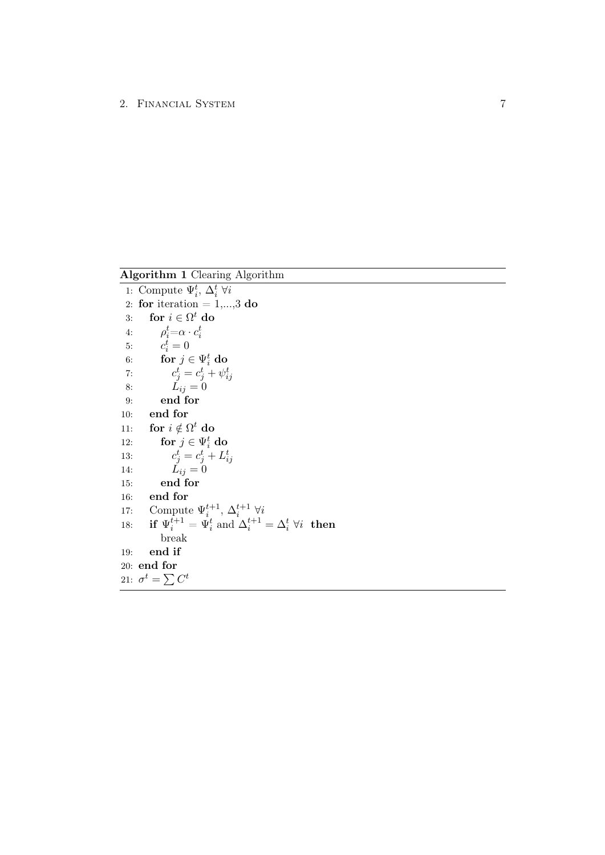Algorithm 1 Clearing Algorithm

1: Compute  $\Psi_i^t$ ,  $\Delta_i^t$   $\forall i$ 2: for iteration  $= 1,...,3$  do 3: for  $i \in \Omega^t$  do 4:  $\rho_i^t = \alpha \cdot c_i^t$ i 5:  $c_i^t = 0$ 6: for  $j \in \Psi_i^t$  do 7:  $c_j^t = c_j^t + \psi_{ij}^t$ 8:  $L_{ij} = 0$ 9: end for 10: end for 11: for  $i \notin \Omega^t$  do 12: for  $j \in \Psi_i^t$  do 13:  $c_j^t = c_j^t + L_{ij}^t$ 14:  $L_{ij} = 0$ 15: end for 16: end for 17: Compute  $\Psi_i^{t+1}$ ,  $\Delta_i^{t+1}$   $\forall i$ 18: if  $\Psi_i^{t+1} = \Psi_i^t$  and  $\Delta_i^{t+1} = \Delta_i^t \ \forall i$  then break 19: end if 20: end for 21:  $\sigma^t = \sum C^t$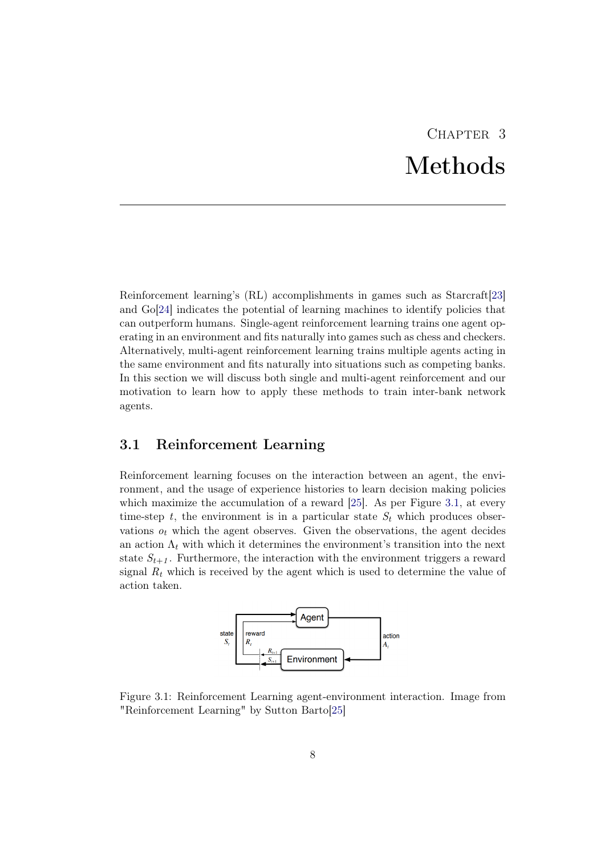# CHAPTER<sub>3</sub> Methods

<span id="page-12-0"></span>Reinforcement learning's (RL) accomplishments in games such as Starcraft[\[23\]](#page-28-11) and Go[\[24\]](#page-28-12) indicates the potential of learning machines to identify policies that can outperform humans. Single-agent reinforcement learning trains one agent operating in an environment and fits naturally into games such as chess and checkers. Alternatively, multi-agent reinforcement learning trains multiple agents acting in the same environment and fits naturally into situations such as competing banks. In this section we will discuss both single and multi-agent reinforcement and our motivation to learn how to apply these methods to train inter-bank network agents.

## <span id="page-12-1"></span>3.1 Reinforcement Learning

Reinforcement learning focuses on the interaction between an agent, the environment, and the usage of experience histories to learn decision making policies which maximize the accumulation of a reward [\[25\]](#page-28-13). As per Figure [3.1,](#page-12-2) at every time-step t, the environment is in a particular state  $S_t$  which produces observations  $o_t$  which the agent observes. Given the observations, the agent decides an action  $\Lambda_t$  with which it determines the environment's transition into the next state  $S_{t+1}$ . Furthermore, the interaction with the environment triggers a reward signal  $R_t$  which is received by the agent which is used to determine the value of action taken.

<span id="page-12-2"></span>

Figure 3.1: Reinforcement Learning agent-environment interaction. Image from "Reinforcement Learning" by Sutton Barto[\[25\]](#page-28-13)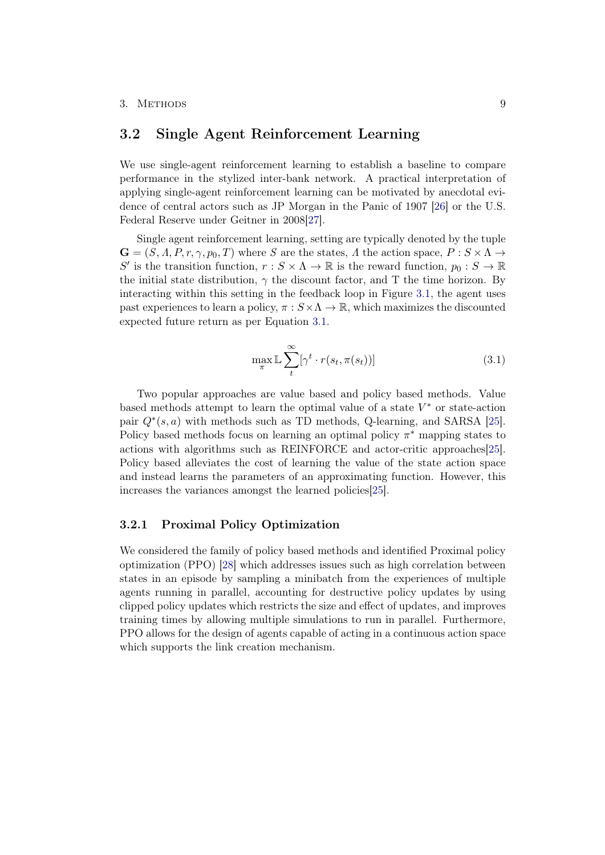### <span id="page-13-0"></span>3.2 Single Agent Reinforcement Learning

We use single-agent reinforcement learning to establish a baseline to compare performance in the stylized inter-bank network. A practical interpretation of applying single-agent reinforcement learning can be motivated by anecdotal evidence of central actors such as JP Morgan in the Panic of 1907 [\[26\]](#page-29-0) or the U.S. Federal Reserve under Geitner in 2008[\[27\]](#page-29-1).

Single agent reinforcement learning, setting are typically denoted by the tuple  $\mathbf{G} = (S, \Lambda, P, r, \gamma, p_0, T)$  where S are the states,  $\Lambda$  the action space,  $P : S \times \Lambda \to$ S' is the transition function,  $r : S \times \Lambda \to \mathbb{R}$  is the reward function,  $p_0 : S \to \mathbb{R}$ the initial state distribution,  $\gamma$  the discount factor, and T the time horizon. By interacting within this setting in the feedback loop in Figure [3.1,](#page-12-2) the agent uses past experiences to learn a policy,  $\pi : S \times \Lambda \to \mathbb{R}$ , which maximizes the discounted expected future return as per Equation [3.1.](#page-13-2)

<span id="page-13-2"></span>
$$
\max_{\pi} \mathbb{L} \sum_{t}^{\infty} [\gamma^t \cdot r(s_t, \pi(s_t))]
$$
\n(3.1)

Two popular approaches are value based and policy based methods. Value based methods attempt to learn the optimal value of a state  $V^*$  or state-action pair  $Q^*(s, a)$  with methods such as TD methods, Q-learning, and SARSA [\[25\]](#page-28-13). Policy based methods focus on learning an optimal policy  $\pi^*$  mapping states to actions with algorithms such as REINFORCE and actor-critic approaches[\[25\]](#page-28-13). Policy based alleviates the cost of learning the value of the state action space and instead learns the parameters of an approximating function. However, this increases the variances amongst the learned policies[\[25\]](#page-28-13).

#### <span id="page-13-1"></span>3.2.1 Proximal Policy Optimization

We considered the family of policy based methods and identified Proximal policy optimization (PPO) [\[28\]](#page-29-2) which addresses issues such as high correlation between states in an episode by sampling a minibatch from the experiences of multiple agents running in parallel, accounting for destructive policy updates by using clipped policy updates which restricts the size and effect of updates, and improves training times by allowing multiple simulations to run in parallel. Furthermore, PPO allows for the design of agents capable of acting in a continuous action space which supports the link creation mechanism.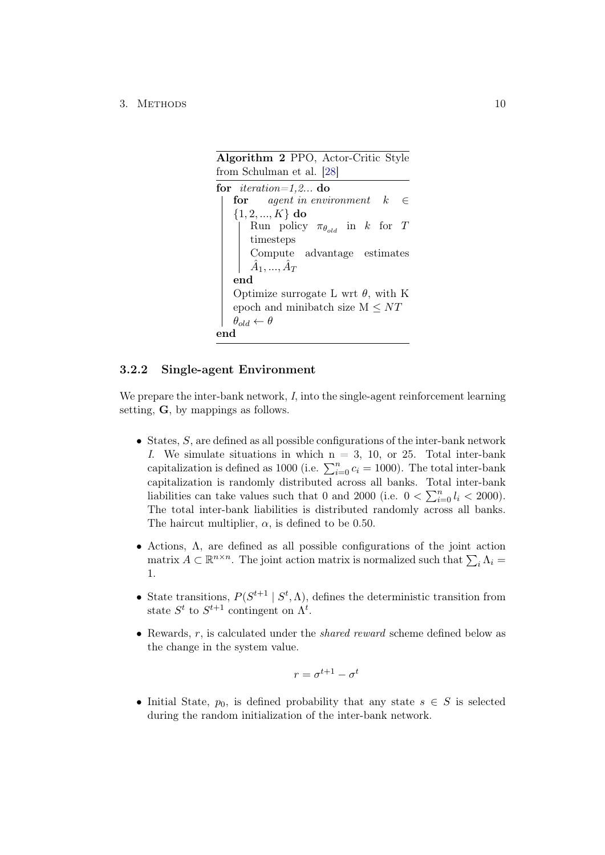#### 3. METHODS 10

Algorithm 2 PPO, Actor-Critic Style from Schulman et al. [\[28\]](#page-29-2) for *iteration=1,2...* do for agent in environment  $k \in \mathbb{R}$  $\{1, 2, ..., K\}$  do Run policy  $\pi_{\theta_{old}}$  in k for T timesteps Compute advantage estimates  $\hat{A}_1, ..., \hat{A}_T$ end Optimize surrogate L wrt  $\theta$ , with K epoch and minibatch size  $M \leq NT$  $\theta_{old} \leftarrow \theta$ end

#### <span id="page-14-1"></span><span id="page-14-0"></span>3.2.2 Single-agent Environment

We prepare the inter-bank network, I, into the single-agent reinforcement learning setting, G, by mappings as follows.

- States,  $S$ , are defined as all possible configurations of the inter-bank network I. We simulate situations in which  $n = 3, 10,$  or 25. Total inter-bank capitalization is defined as 1000 (i.e.  $\sum_{i=0}^{n} c_i = 1000$ ). The total inter-bank capitalization is randomly distributed across all banks. Total inter-bank liabilities can take values such that 0 and 2000 (i.e.  $0 < \sum_{i=0}^{n} l_i < 2000$ ). The total inter-bank liabilities is distributed randomly across all banks. The haircut multiplier,  $\alpha$ , is defined to be 0.50.
- Actions, Λ, are defined as all possible configurations of the joint action matrix  $A \subset \mathbb{R}^{n \times n}$ . The joint action matrix is normalized such that  $\sum_i \Lambda_i =$ 1.
- State transitions,  $P(S^{t+1} | S^t, \Lambda)$ , defines the deterministic transition from state  $S^t$  to  $S^{t+1}$  contingent on  $\Lambda^t$ .
- Rewards,  $r$ , is calculated under the *shared reward* scheme defined below as the change in the system value.

$$
r = \sigma^{t+1} - \sigma^t
$$

• Initial State,  $p_0$ , is defined probability that any state  $s \in S$  is selected during the random initialization of the inter-bank network.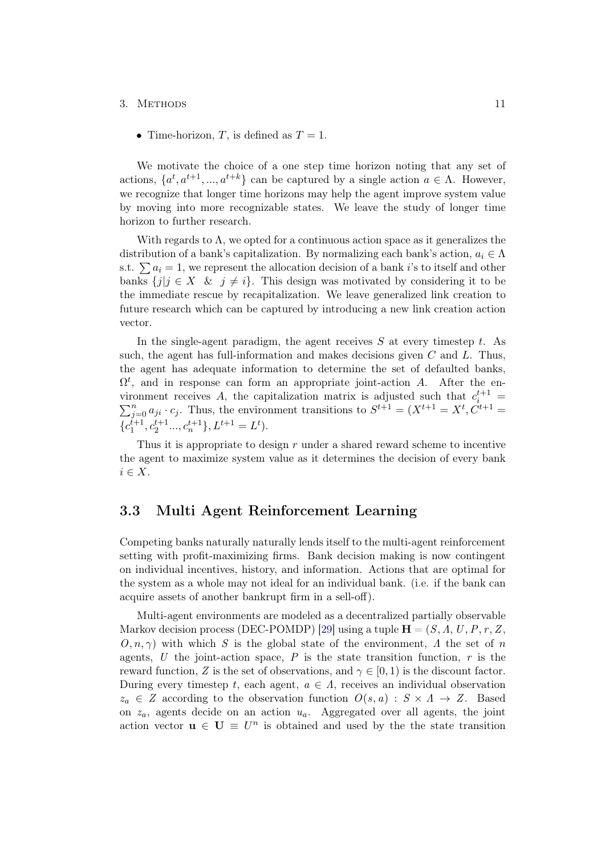#### 3. METHODS 11

• Time-horizon, T, is defined as  $T = 1$ .

We motivate the choice of a one step time horizon noting that any set of actions,  $\{a^t, a^{t+1}, ..., a^{t+k}\}\)$  can be captured by a single action  $a \in \Lambda$ . However, we recognize that longer time horizons may help the agent improve system value by moving into more recognizable states. We leave the study of longer time horizon to further research.

With regards to  $\Lambda$ , we opted for a continuous action space as it generalizes the distribution of a bank's capitalization. By normalizing each bank's action,  $a_i \in \Lambda$ s.t.  $\sum a_i = 1$ , we represent the allocation decision of a bank i's to itself and other banks  $\{j | j \in X \& j \neq i\}$ . This design was motivated by considering it to be the immediate rescue by recapitalization. We leave generalized link creation to future research which can be captured by introducing a new link creation action vector.

In the single-agent paradigm, the agent receives  $S$  at every timestep t. As such, the agent has full-information and makes decisions given  $C$  and  $L$ . Thus, the agent has adequate information to determine the set of defaulted banks,  $\Omega^t$ , and in response can form an appropriate joint-action A. After the environment receives A, the capitalization matrix is adjusted such that  $c_i^{t+1}$  =  $\sum_{j=0}^{n} a_{ji} \cdot c_j$ . Thus, the environment transitions to  $S^{t+1} = (X^{t+1} = X^t, C^{t+1} = X^t)$  ${c_1^{t+1}, c_2^{t+1}, \ldots, c_n^{t+1}, L^{t+1} = L^t}.$ 

Thus it is appropriate to design  $r$  under a shared reward scheme to incentive the agent to maximize system value as it determines the decision of every bank  $i \in X$ .

### <span id="page-15-0"></span>3.3 Multi Agent Reinforcement Learning

Competing banks naturally naturally lends itself to the multi-agent reinforcement setting with profit-maximizing firms. Bank decision making is now contingent on individual incentives, history, and information. Actions that are optimal for the system as a whole may not ideal for an individual bank. (i.e. if the bank can acquire assets of another bankrupt firm in a sell-off).

Multi-agent environments are modeled as a decentralized partially observable Markov decision process (DEC-POMDP) [\[29\]](#page-29-3) using a tuple  $\mathbf{H} = (S, \Lambda, U, P, r, Z, \Lambda)$  $O, n, \gamma$ ) with which S is the global state of the environment, A the set of n agents, U the joint-action space, P is the state transition function,  $r$  is the reward function, Z is the set of observations, and  $\gamma \in [0,1)$  is the discount factor. During every timestep t, each agent,  $a \in \Lambda$ , receives an individual observation  $z_a \in Z$  according to the observation function  $O(s, a) : S \times A \rightarrow Z$ . Based on  $z_a$ , agents decide on an action  $u_a$ . Aggregated over all agents, the joint action vector  $\mathbf{u} \in \mathbf{U} \equiv U^n$  is obtained and used by the the state transition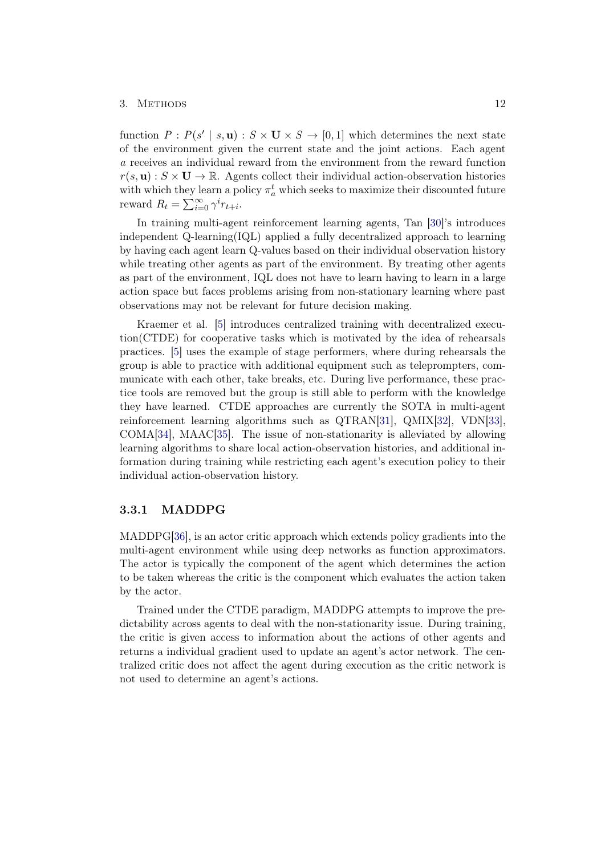#### 3. METHODS 12

function  $P: P(s' | s, \mathbf{u}) : S \times \mathbf{U} \times S \rightarrow [0, 1]$  which determines the next state of the environment given the current state and the joint actions. Each agent a receives an individual reward from the environment from the reward function  $r(s, \mathbf{u}) : S \times \mathbf{U} \to \mathbb{R}$ . Agents collect their individual action-observation histories with which they learn a policy  $\pi_a^t$  which seeks to maximize their discounted future reward  $R_t = \sum_{i=0}^{\infty} \gamma^i r_{t+i}$ .

In training multi-agent reinforcement learning agents, Tan [\[30\]](#page-29-4)'s introduces independent Q-learning(IQL) applied a fully decentralized approach to learning by having each agent learn Q-values based on their individual observation history while treating other agents as part of the environment. By treating other agents as part of the environment, IQL does not have to learn having to learn in a large action space but faces problems arising from non-stationary learning where past observations may not be relevant for future decision making.

Kraemer et al. [\[5\]](#page-27-5) introduces centralized training with decentralized execution(CTDE) for cooperative tasks which is motivated by the idea of rehearsals practices. [\[5\]](#page-27-5) uses the example of stage performers, where during rehearsals the group is able to practice with additional equipment such as teleprompters, communicate with each other, take breaks, etc. During live performance, these practice tools are removed but the group is still able to perform with the knowledge they have learned. CTDE approaches are currently the SOTA in multi-agent reinforcement learning algorithms such as QTRAN[\[31\]](#page-29-5), QMIX[\[32\]](#page-29-6), VDN[\[33\]](#page-29-7), COMA[\[34\]](#page-29-8), MAAC[\[35\]](#page-29-9). The issue of non-stationarity is alleviated by allowing learning algorithms to share local action-observation histories, and additional information during training while restricting each agent's execution policy to their individual action-observation history.

#### <span id="page-16-0"></span>3.3.1 MADDPG

MADDPG[\[36\]](#page-29-10), is an actor critic approach which extends policy gradients into the multi-agent environment while using deep networks as function approximators. The actor is typically the component of the agent which determines the action to be taken whereas the critic is the component which evaluates the action taken by the actor.

Trained under the CTDE paradigm, MADDPG attempts to improve the predictability across agents to deal with the non-stationarity issue. During training, the critic is given access to information about the actions of other agents and returns a individual gradient used to update an agent's actor network. The centralized critic does not affect the agent during execution as the critic network is not used to determine an agent's actions.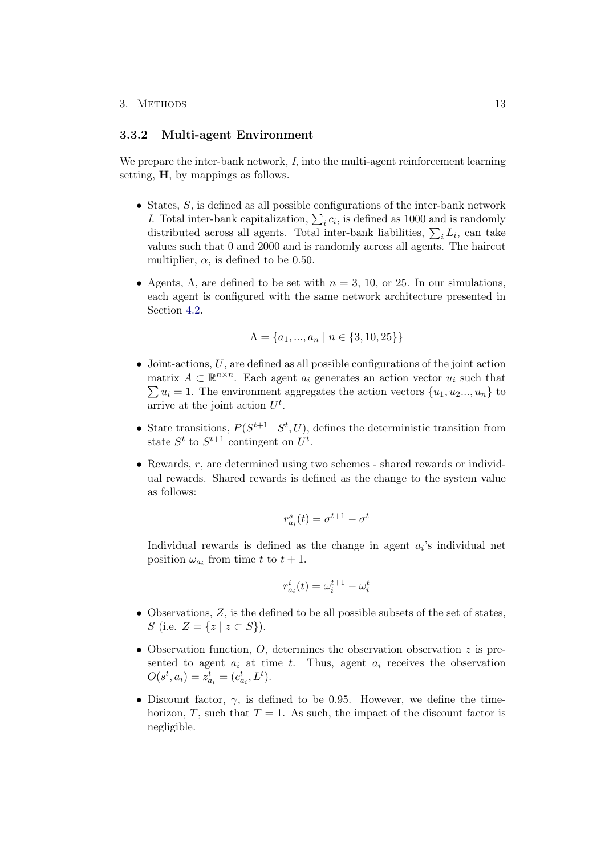#### <span id="page-17-0"></span>3.3.2 Multi-agent Environment

We prepare the inter-bank network, I, into the multi-agent reinforcement learning setting, H, by mappings as follows.

- States,  $S$ , is defined as all possible configurations of the inter-bank network I. Total inter-bank capitalization,  $\sum_i c_i$ , is defined as 1000 and is randomly distributed across all agents. Total inter-bank liabilities,  $\sum_i L_i$ , can take values such that 0 and 2000 and is randomly across all agents. The haircut multiplier,  $\alpha$ , is defined to be 0.50.
- Agents,  $\Lambda$ , are defined to be set with  $n = 3, 10$ , or 25. In our simulations, each agent is configured with the same network architecture presented in Section [4.2.](#page-20-0)

$$
\Lambda = \{a_1, ..., a_n \mid n \in \{3, 10, 25\}\}
$$

- Joint-actions,  $U$ , are defined as all possible configurations of the joint action matrix  $A \subset \mathbb{R}^{n \times n}$ . Each agent  $a_i$  generates an action vector  $u_i$  such that  $\sum u_i = 1$ . The environment aggregates the action vectors  $\{u_1, u_2, ..., u_n\}$  to arrive at the joint action  $U^t$ .
- State transitions,  $P(S^{t+1} | S^t, U)$ , defines the deterministic transition from state  $S^t$  to  $S^{t+1}$  contingent on  $U^t$ .
- Rewards,  $r$ , are determined using two schemes shared rewards or individual rewards. Shared rewards is defined as the change to the system value as follows:

$$
r_{a_i}^s(t) = \sigma^{t+1} - \sigma^t
$$

Individual rewards is defined as the change in agent  $a_i$ 's individual net position  $\omega_{a_i}$  from time t to  $t + 1$ .

$$
r_{a_i}^i(t) = \omega_i^{t+1} - \omega_i^t
$$

- Observations, Z, is the defined to be all possible subsets of the set of states, S (i.e.  $Z = \{z \mid z \subset S\}$ ).
- Observation function,  $O$ , determines the observation observation  $z$  is presented to agent  $a_i$  at time  $t$ . Thus, agent  $a_i$  receives the observation  $O(s^t, a_i) = z_{a_i}^t = (c_{a_i}^t, L^t).$
- Discount factor,  $\gamma$ , is defined to be 0.95. However, we define the timehorizon, T, such that  $T = 1$ . As such, the impact of the discount factor is negligible.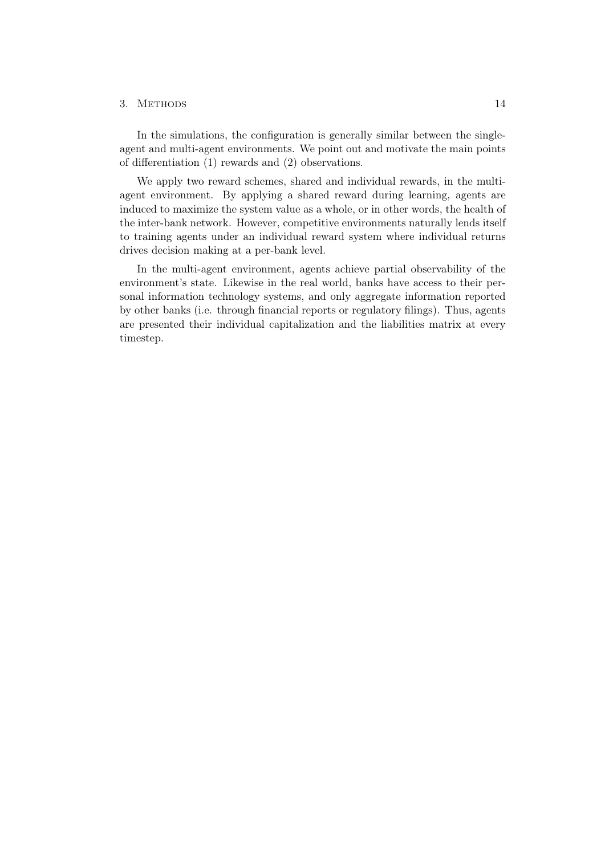#### 3. Methods 14

In the simulations, the configuration is generally similar between the singleagent and multi-agent environments. We point out and motivate the main points of differentiation (1) rewards and (2) observations.

We apply two reward schemes, shared and individual rewards, in the multiagent environment. By applying a shared reward during learning, agents are induced to maximize the system value as a whole, or in other words, the health of the inter-bank network. However, competitive environments naturally lends itself to training agents under an individual reward system where individual returns drives decision making at a per-bank level.

In the multi-agent environment, agents achieve partial observability of the environment's state. Likewise in the real world, banks have access to their personal information technology systems, and only aggregate information reported by other banks (i.e. through financial reports or regulatory filings). Thus, agents are presented their individual capitalization and the liabilities matrix at every timestep.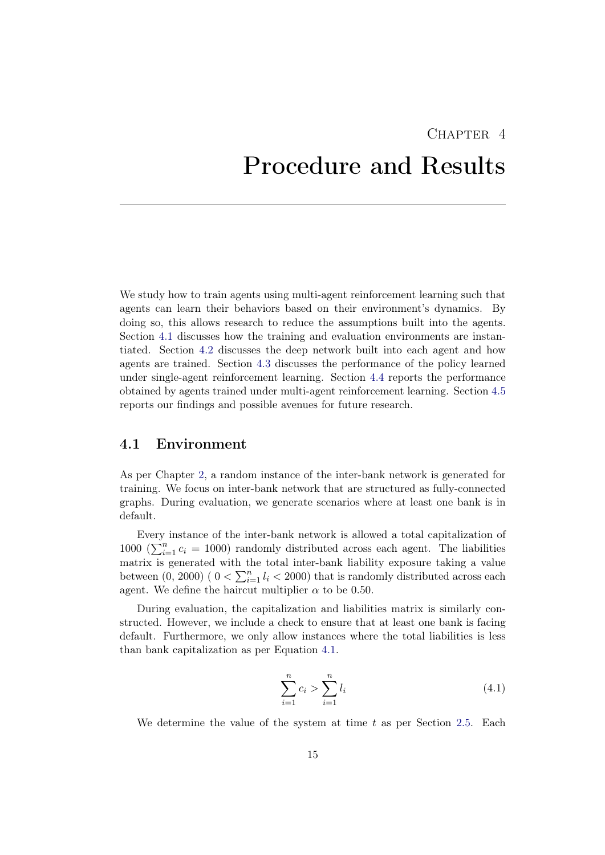# <span id="page-19-0"></span>CHAPTER<sub>4</sub> Procedure and Results

We study how to train agents using multi-agent reinforcement learning such that agents can learn their behaviors based on their environment's dynamics. By doing so, this allows research to reduce the assumptions built into the agents. Section [4.1](#page-19-1) discusses how the training and evaluation environments are instantiated. Section [4.2](#page-20-0) discusses the deep network built into each agent and how agents are trained. Section [4.3](#page-21-0) discusses the performance of the policy learned under single-agent reinforcement learning. Section [4.4](#page-21-1) reports the performance obtained by agents trained under multi-agent reinforcement learning. Section [4.5](#page-22-0) reports our findings and possible avenues for future research.

### <span id="page-19-1"></span>4.1 Environment

As per Chapter [2,](#page-6-0) a random instance of the inter-bank network is generated for training. We focus on inter-bank network that are structured as fully-connected graphs. During evaluation, we generate scenarios where at least one bank is in default.

Every instance of the inter-bank network is allowed a total capitalization of 1000 ( $\sum_{i=1}^{n} c_i = 1000$ ) randomly distributed across each agent. The liabilities matrix is generated with the total inter-bank liability exposure taking a value between  $(0, 2000)$   $(0 < \sum_{i=1}^{n} l_i < 2000)$  that is randomly distributed across each agent. We define the haircut multiplier  $\alpha$  to be 0.50.

During evaluation, the capitalization and liabilities matrix is similarly constructed. However, we include a check to ensure that at least one bank is facing default. Furthermore, we only allow instances where the total liabilities is less than bank capitalization as per Equation [4.1.](#page-19-2)

<span id="page-19-2"></span>
$$
\sum_{i=1}^{n} c_i > \sum_{i=1}^{n} l_i
$$
\n(4.1)

We determine the value of the system at time  $t$  as per Section [2.5.](#page-10-0) Each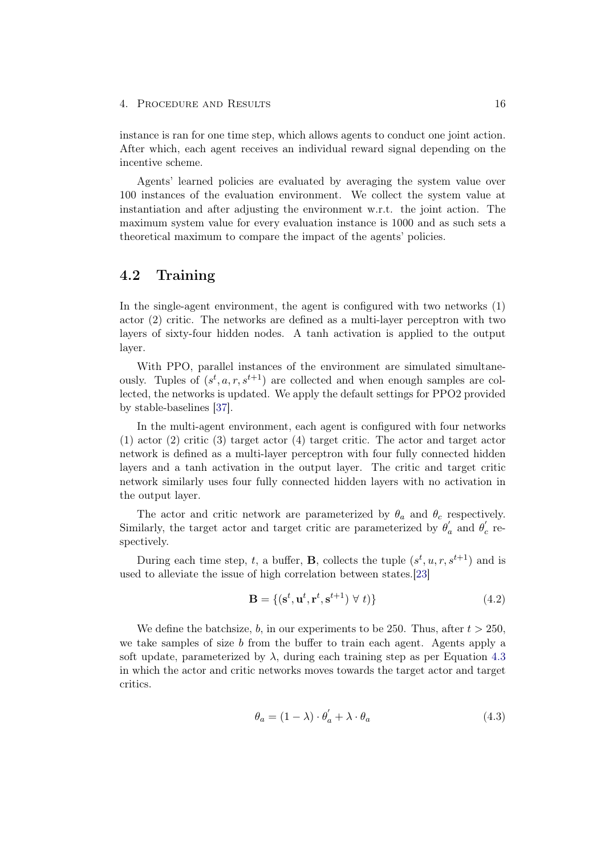instance is ran for one time step, which allows agents to conduct one joint action. After which, each agent receives an individual reward signal depending on the incentive scheme.

Agents' learned policies are evaluated by averaging the system value over 100 instances of the evaluation environment. We collect the system value at instantiation and after adjusting the environment w.r.t. the joint action. The maximum system value for every evaluation instance is 1000 and as such sets a theoretical maximum to compare the impact of the agents' policies.

### <span id="page-20-0"></span>4.2 Training

In the single-agent environment, the agent is configured with two networks (1) actor (2) critic. The networks are defined as a multi-layer perceptron with two layers of sixty-four hidden nodes. A tanh activation is applied to the output layer.

With PPO, parallel instances of the environment are simulated simultaneously. Tuples of  $(s^t, a, r, s^{t+1})$  are collected and when enough samples are collected, the networks is updated. We apply the default settings for PPO2 provided by stable-baselines [\[37\]](#page-29-11).

In the multi-agent environment, each agent is configured with four networks (1) actor (2) critic (3) target actor (4) target critic. The actor and target actor network is defined as a multi-layer perceptron with four fully connected hidden layers and a tanh activation in the output layer. The critic and target critic network similarly uses four fully connected hidden layers with no activation in the output layer.

The actor and critic network are parameterized by  $\theta_a$  and  $\theta_c$  respectively. Similarly, the target actor and target critic are parameterized by  $\theta'_a$  and  $\theta'_c$  respectively.

During each time step, t, a buffer, **B**, collects the tuple  $(s^t, u, r, s^{t+1})$  and is used to alleviate the issue of high correlation between states.[\[23\]](#page-28-11)

$$
\mathbf{B} = \{ (\mathbf{s}^t, \mathbf{u}^t, \mathbf{r}^t, \mathbf{s}^{t+1}) \ \forall \ t) \}
$$
(4.2)

We define the batchsize, b, in our experiments to be 250. Thus, after  $t > 250$ , we take samples of size b from the buffer to train each agent. Agents apply a soft update, parameterized by  $\lambda$ , during each training step as per Equation [4.3](#page-20-1) in which the actor and critic networks moves towards the target actor and target critics.

<span id="page-20-1"></span>
$$
\theta_a = (1 - \lambda) \cdot \theta'_a + \lambda \cdot \theta_a \tag{4.3}
$$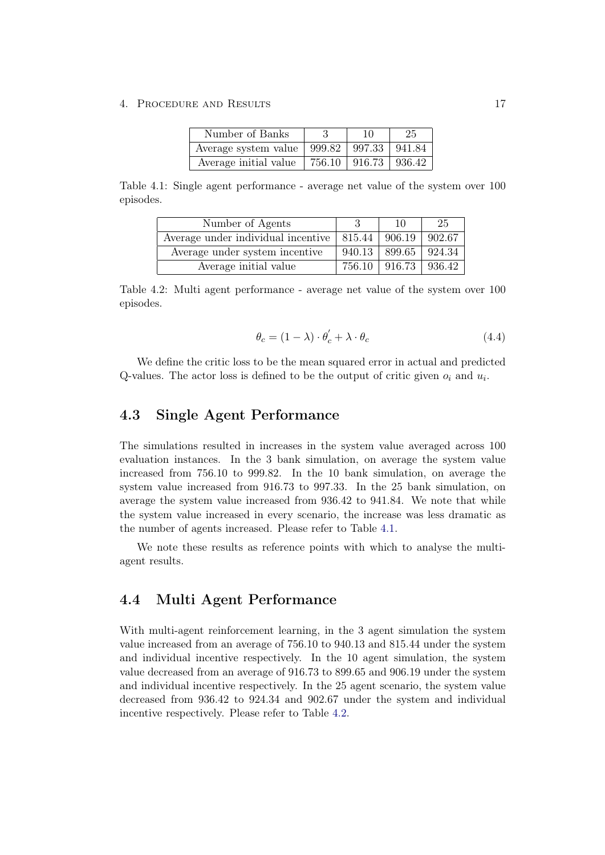4. PROCEDURE AND RESULTS 17

<span id="page-21-2"></span>

| Number of Banks       | 10                         | 25 |
|-----------------------|----------------------------|----|
| Average system value  | $999.82$   997.33   941.84 |    |
| Average initial value | 756.10   916.73   936.42   |    |

Table 4.1: Single agent performance - average net value of the system over 100 episodes.

| Number of Agents                   |        | 10     | 25     |
|------------------------------------|--------|--------|--------|
| Average under individual incentive | 815.44 | 906.19 | 902.67 |
| Average under system incentive     | 940.13 | 899.65 | 924.34 |
| Average initial value              | 756.10 | 916.73 | 936.42 |

Table 4.2: Multi agent performance - average net value of the system over 100 episodes.

<span id="page-21-3"></span>
$$
\theta_c = (1 - \lambda) \cdot \theta_c' + \lambda \cdot \theta_c \tag{4.4}
$$

We define the critic loss to be the mean squared error in actual and predicted Q-values. The actor loss is defined to be the output of critic given  $o_i$  and  $u_i$ .

### <span id="page-21-0"></span>4.3 Single Agent Performance

The simulations resulted in increases in the system value averaged across 100 evaluation instances. In the 3 bank simulation, on average the system value increased from 756.10 to 999.82. In the 10 bank simulation, on average the system value increased from 916.73 to 997.33. In the 25 bank simulation, on average the system value increased from 936.42 to 941.84. We note that while the system value increased in every scenario, the increase was less dramatic as the number of agents increased. Please refer to Table [4.1.](#page-21-2)

We note these results as reference points with which to analyse the multiagent results.

### <span id="page-21-1"></span>4.4 Multi Agent Performance

With multi-agent reinforcement learning, in the 3 agent simulation the system value increased from an average of 756.10 to 940.13 and 815.44 under the system and individual incentive respectively. In the 10 agent simulation, the system value decreased from an average of 916.73 to 899.65 and 906.19 under the system and individual incentive respectively. In the 25 agent scenario, the system value decreased from 936.42 to 924.34 and 902.67 under the system and individual incentive respectively. Please refer to Table [4.2.](#page-21-3)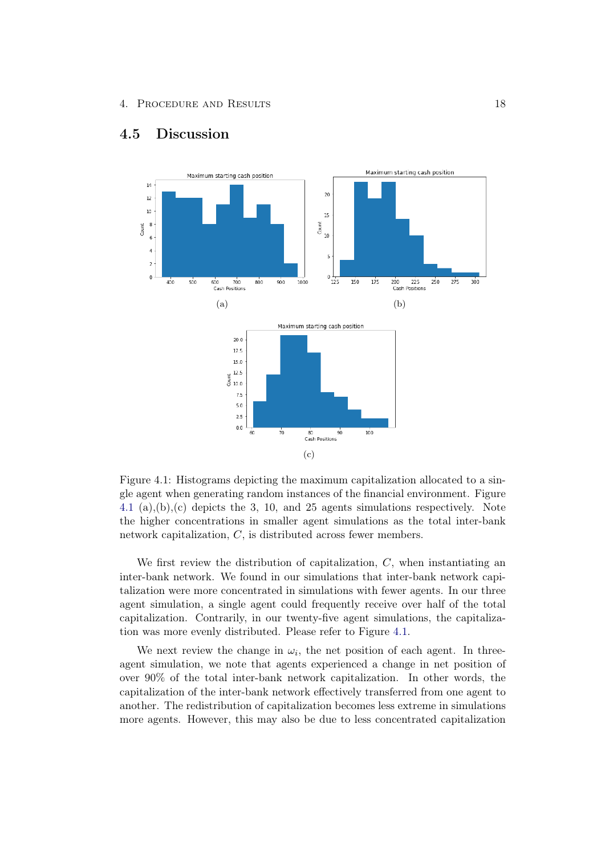

### <span id="page-22-0"></span>4.5 Discussion

<span id="page-22-1"></span>Figure 4.1: Histograms depicting the maximum capitalization allocated to a single agent when generating random instances of the financial environment. Figure [4.1](#page-22-1) (a),(b),(c) depicts the 3, 10, and 25 agents simulations respectively. Note the higher concentrations in smaller agent simulations as the total inter-bank network capitalization, C, is distributed across fewer members.

We first review the distribution of capitalization,  $C$ , when instantiating an inter-bank network. We found in our simulations that inter-bank network capitalization were more concentrated in simulations with fewer agents. In our three agent simulation, a single agent could frequently receive over half of the total capitalization. Contrarily, in our twenty-five agent simulations, the capitalization was more evenly distributed. Please refer to Figure [4.1.](#page-22-1)

We next review the change in  $\omega_i$ , the net position of each agent. In threeagent simulation, we note that agents experienced a change in net position of over 90% of the total inter-bank network capitalization. In other words, the capitalization of the inter-bank network effectively transferred from one agent to another. The redistribution of capitalization becomes less extreme in simulations more agents. However, this may also be due to less concentrated capitalization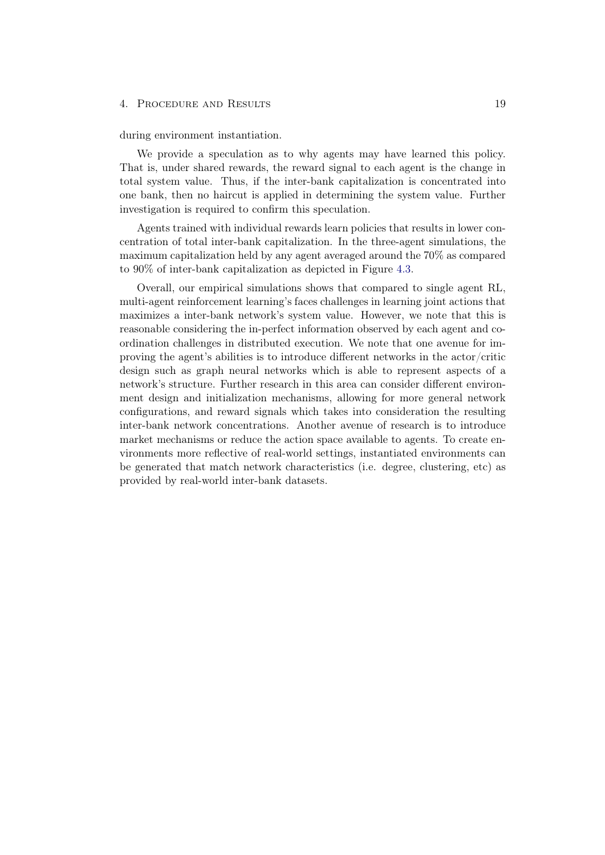#### 4. Procedure and Results 19

during environment instantiation.

We provide a speculation as to why agents may have learned this policy. That is, under shared rewards, the reward signal to each agent is the change in total system value. Thus, if the inter-bank capitalization is concentrated into one bank, then no haircut is applied in determining the system value. Further investigation is required to confirm this speculation.

Agents trained with individual rewards learn policies that results in lower concentration of total inter-bank capitalization. In the three-agent simulations, the maximum capitalization held by any agent averaged around the 70% as compared to 90% of inter-bank capitalization as depicted in Figure [4.3.](#page-25-0)

Overall, our empirical simulations shows that compared to single agent RL, multi-agent reinforcement learning's faces challenges in learning joint actions that maximizes a inter-bank network's system value. However, we note that this is reasonable considering the in-perfect information observed by each agent and coordination challenges in distributed execution. We note that one avenue for improving the agent's abilities is to introduce different networks in the actor/critic design such as graph neural networks which is able to represent aspects of a network's structure. Further research in this area can consider different environment design and initialization mechanisms, allowing for more general network configurations, and reward signals which takes into consideration the resulting inter-bank network concentrations. Another avenue of research is to introduce market mechanisms or reduce the action space available to agents. To create environments more reflective of real-world settings, instantiated environments can be generated that match network characteristics (i.e. degree, clustering, etc) as provided by real-world inter-bank datasets.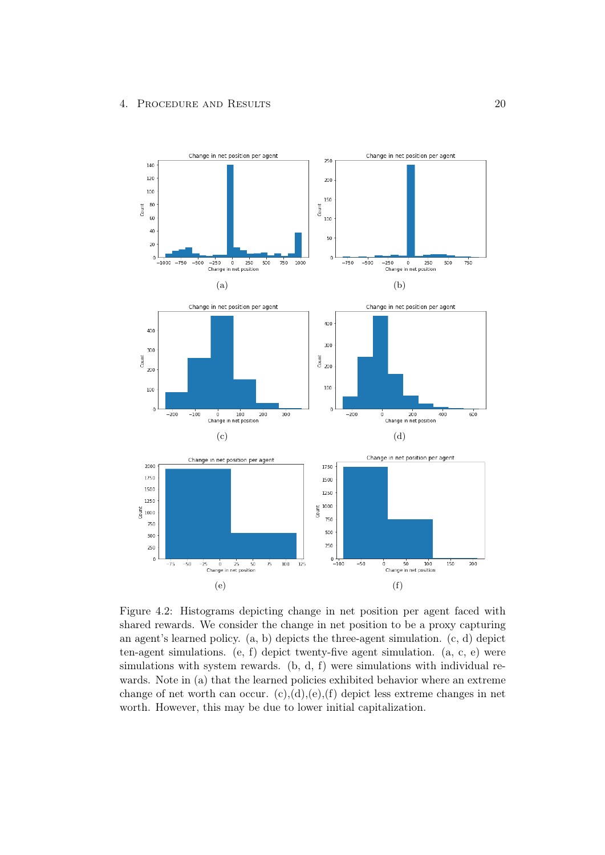

Figure 4.2: Histograms depicting change in net position per agent faced with shared rewards. We consider the change in net position to be a proxy capturing an agent's learned policy. (a, b) depicts the three-agent simulation. (c, d) depict ten-agent simulations. (e, f) depict twenty-five agent simulation. (a, c, e) were simulations with system rewards. (b, d, f) were simulations with individual rewards. Note in (a) that the learned policies exhibited behavior where an extreme change of net worth can occur.  $(c)$ , $(d)$ , $(e)$ , $(f)$  depict less extreme changes in net worth. However, this may be due to lower initial capitalization.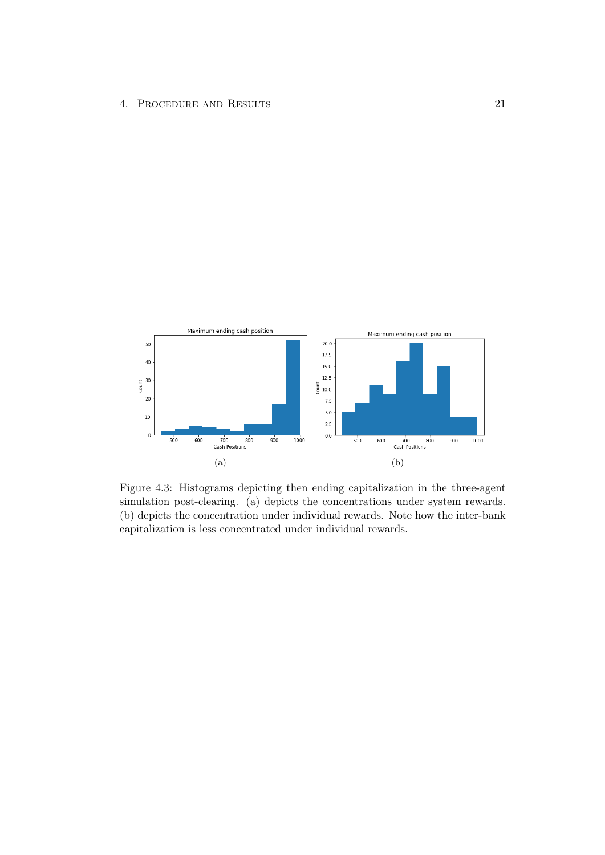

<span id="page-25-0"></span>Figure 4.3: Histograms depicting then ending capitalization in the three-agent simulation post-clearing. (a) depicts the concentrations under system rewards. (b) depicts the concentration under individual rewards. Note how the inter-bank capitalization is less concentrated under individual rewards.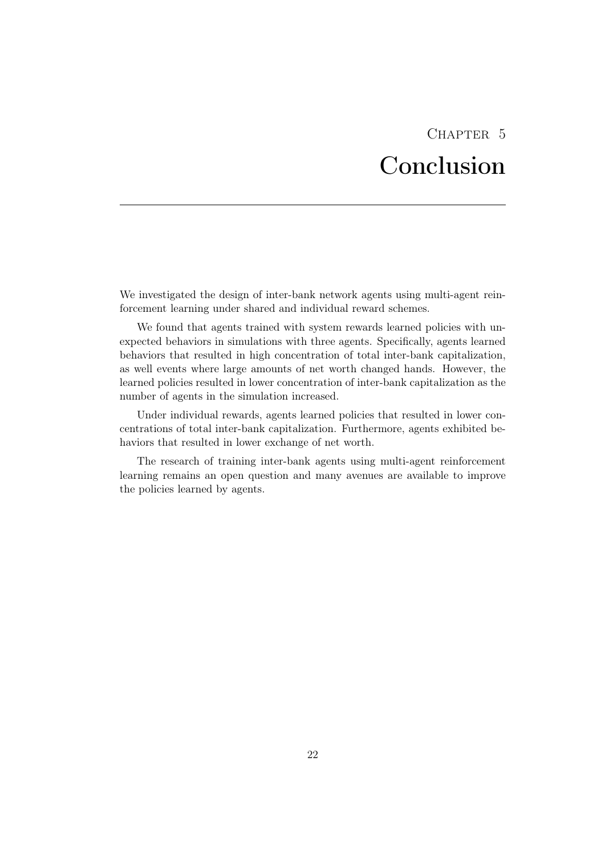# CHAPTER<sub>5</sub> Conclusion

<span id="page-26-0"></span>We investigated the design of inter-bank network agents using multi-agent reinforcement learning under shared and individual reward schemes.

We found that agents trained with system rewards learned policies with unexpected behaviors in simulations with three agents. Specifically, agents learned behaviors that resulted in high concentration of total inter-bank capitalization, as well events where large amounts of net worth changed hands. However, the learned policies resulted in lower concentration of inter-bank capitalization as the number of agents in the simulation increased.

Under individual rewards, agents learned policies that resulted in lower concentrations of total inter-bank capitalization. Furthermore, agents exhibited behaviors that resulted in lower exchange of net worth.

The research of training inter-bank agents using multi-agent reinforcement learning remains an open question and many avenues are available to improve the policies learned by agents.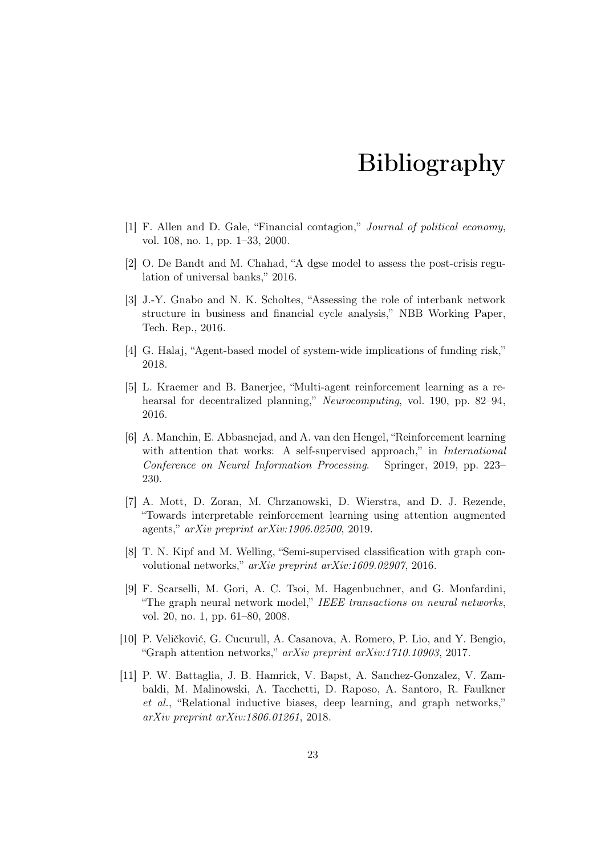## Bibliography

- <span id="page-27-1"></span><span id="page-27-0"></span>[1] F. Allen and D. Gale, "Financial contagion," Journal of political economy, vol. 108, no. 1, pp. 1–33, 2000.
- <span id="page-27-2"></span>[2] O. De Bandt and M. Chahad, "A dgse model to assess the post-crisis regulation of universal banks," 2016.
- <span id="page-27-3"></span>[3] J.-Y. Gnabo and N. K. Scholtes, "Assessing the role of interbank network structure in business and financial cycle analysis," NBB Working Paper, Tech. Rep., 2016.
- <span id="page-27-4"></span>[4] G. Halaj, "Agent-based model of system-wide implications of funding risk," 2018.
- <span id="page-27-5"></span>[5] L. Kraemer and B. Banerjee, "Multi-agent reinforcement learning as a rehearsal for decentralized planning," Neurocomputing, vol. 190, pp. 82–94, 2016.
- <span id="page-27-6"></span>[6] A. Manchin, E. Abbasnejad, and A. van den Hengel, "Reinforcement learning with attention that works: A self-supervised approach," in *International* Conference on Neural Information Processing. Springer, 2019, pp. 223– 230.
- <span id="page-27-7"></span>[7] A. Mott, D. Zoran, M. Chrzanowski, D. Wierstra, and D. J. Rezende, "Towards interpretable reinforcement learning using attention augmented agents," arXiv preprint arXiv:1906.02500, 2019.
- <span id="page-27-8"></span>[8] T. N. Kipf and M. Welling, "Semi-supervised classification with graph convolutional networks," arXiv preprint arXiv:1609.02907, 2016.
- <span id="page-27-9"></span>[9] F. Scarselli, M. Gori, A. C. Tsoi, M. Hagenbuchner, and G. Monfardini, "The graph neural network model," IEEE transactions on neural networks, vol. 20, no. 1, pp. 61–80, 2008.
- <span id="page-27-10"></span>[10] P. Veličković, G. Cucurull, A. Casanova, A. Romero, P. Lio, and Y. Bengio, "Graph attention networks," arXiv preprint arXiv:1710.10903, 2017.
- <span id="page-27-11"></span>[11] P. W. Battaglia, J. B. Hamrick, V. Bapst, A. Sanchez-Gonzalez, V. Zambaldi, M. Malinowski, A. Tacchetti, D. Raposo, A. Santoro, R. Faulkner et al., "Relational inductive biases, deep learning, and graph networks," arXiv preprint arXiv:1806.01261, 2018.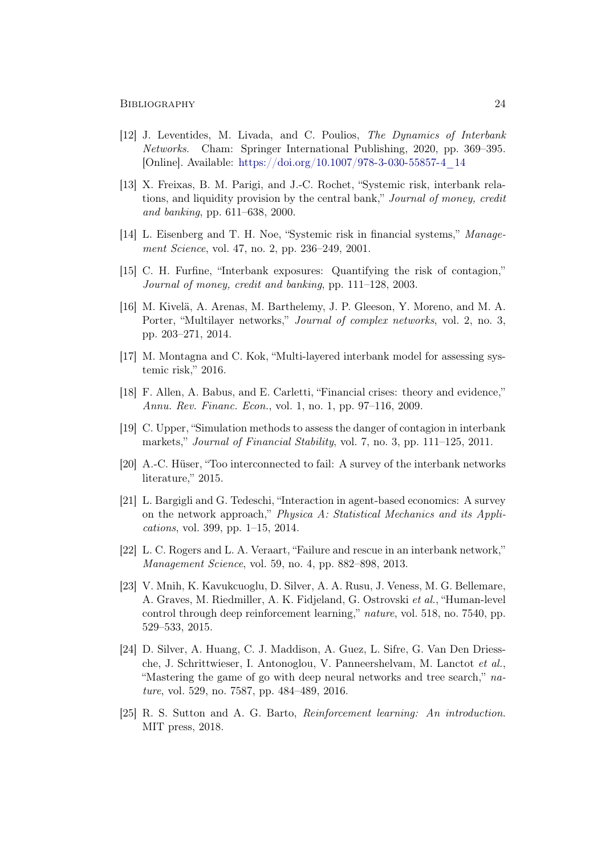#### BIBLIOGRAPHY 24

- <span id="page-28-0"></span>[12] J. Leventides, M. Livada, and C. Poulios, The Dynamics of Interbank Networks. Cham: Springer International Publishing, 2020, pp. 369–395. [Online]. Available: [https://doi.org/10.1007/978-3-030-55857-4\\_14](https://doi.org/10.1007/978-3-030-55857-4_14)
- <span id="page-28-1"></span>[13] X. Freixas, B. M. Parigi, and J.-C. Rochet, "Systemic risk, interbank relations, and liquidity provision by the central bank," Journal of money, credit and banking, pp. 611–638, 2000.
- <span id="page-28-2"></span>[14] L. Eisenberg and T. H. Noe, "Systemic risk in financial systems," Management Science, vol. 47, no. 2, pp. 236–249, 2001.
- <span id="page-28-3"></span>[15] C. H. Furfine, "Interbank exposures: Quantifying the risk of contagion," Journal of money, credit and banking, pp. 111–128, 2003.
- <span id="page-28-4"></span>[16] M. Kivelä, A. Arenas, M. Barthelemy, J. P. Gleeson, Y. Moreno, and M. A. Porter, "Multilayer networks," Journal of complex networks, vol. 2, no. 3, pp. 203–271, 2014.
- <span id="page-28-5"></span>[17] M. Montagna and C. Kok, "Multi-layered interbank model for assessing systemic risk," 2016.
- <span id="page-28-6"></span>[18] F. Allen, A. Babus, and E. Carletti, "Financial crises: theory and evidence," Annu. Rev. Financ. Econ., vol. 1, no. 1, pp. 97–116, 2009.
- <span id="page-28-7"></span>[19] C. Upper, "Simulation methods to assess the danger of contagion in interbank markets," Journal of Financial Stability, vol. 7, no. 3, pp. 111–125, 2011.
- <span id="page-28-8"></span>[20] A.-C. Hüser, "Too interconnected to fail: A survey of the interbank networks literature," 2015.
- <span id="page-28-9"></span>[21] L. Bargigli and G. Tedeschi, "Interaction in agent-based economics: A survey on the network approach," Physica A: Statistical Mechanics and its Applications, vol. 399, pp. 1–15, 2014.
- <span id="page-28-10"></span>[22] L. C. Rogers and L. A. Veraart, "Failure and rescue in an interbank network," Management Science, vol. 59, no. 4, pp. 882–898, 2013.
- <span id="page-28-11"></span>[23] V. Mnih, K. Kavukcuoglu, D. Silver, A. A. Rusu, J. Veness, M. G. Bellemare, A. Graves, M. Riedmiller, A. K. Fidjeland, G. Ostrovski et al., "Human-level control through deep reinforcement learning," nature, vol. 518, no. 7540, pp. 529–533, 2015.
- <span id="page-28-12"></span>[24] D. Silver, A. Huang, C. J. Maddison, A. Guez, L. Sifre, G. Van Den Driessche, J. Schrittwieser, I. Antonoglou, V. Panneershelvam, M. Lanctot et al., "Mastering the game of go with deep neural networks and tree search," nature, vol. 529, no. 7587, pp. 484–489, 2016.
- <span id="page-28-13"></span>[25] R. S. Sutton and A. G. Barto, Reinforcement learning: An introduction. MIT press, 2018.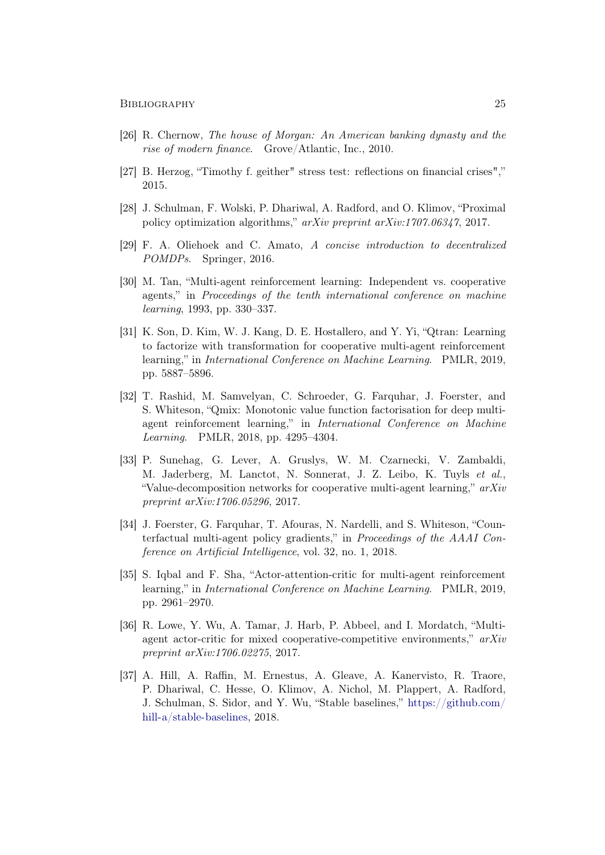- <span id="page-29-0"></span>[26] R. Chernow, The house of Morgan: An American banking dynasty and the rise of modern finance. Grove/Atlantic, Inc., 2010.
- <span id="page-29-1"></span>[27] B. Herzog, "Timothy f. geither" stress test: reflections on financial crises"," 2015.
- <span id="page-29-2"></span>[28] J. Schulman, F. Wolski, P. Dhariwal, A. Radford, and O. Klimov, "Proximal policy optimization algorithms," arXiv preprint arXiv:1707.06347, 2017.
- <span id="page-29-3"></span>[29] F. A. Oliehoek and C. Amato, A concise introduction to decentralized POMDPs. Springer, 2016.
- <span id="page-29-4"></span>[30] M. Tan, "Multi-agent reinforcement learning: Independent vs. cooperative agents," in Proceedings of the tenth international conference on machine learning, 1993, pp. 330–337.
- <span id="page-29-5"></span>[31] K. Son, D. Kim, W. J. Kang, D. E. Hostallero, and Y. Yi, "Qtran: Learning to factorize with transformation for cooperative multi-agent reinforcement learning," in International Conference on Machine Learning. PMLR, 2019, pp. 5887–5896.
- <span id="page-29-6"></span>[32] T. Rashid, M. Samvelyan, C. Schroeder, G. Farquhar, J. Foerster, and S. Whiteson, "Qmix: Monotonic value function factorisation for deep multiagent reinforcement learning," in International Conference on Machine Learning. PMLR, 2018, pp. 4295–4304.
- <span id="page-29-7"></span>[33] P. Sunehag, G. Lever, A. Gruslys, W. M. Czarnecki, V. Zambaldi, M. Jaderberg, M. Lanctot, N. Sonnerat, J. Z. Leibo, K. Tuyls et al., "Value-decomposition networks for cooperative multi-agent learning,"  $arXiv$ preprint arXiv:1706.05296, 2017.
- <span id="page-29-8"></span>[34] J. Foerster, G. Farquhar, T. Afouras, N. Nardelli, and S. Whiteson, "Counterfactual multi-agent policy gradients," in Proceedings of the AAAI Conference on Artificial Intelligence, vol. 32, no. 1, 2018.
- <span id="page-29-9"></span>[35] S. Iqbal and F. Sha, "Actor-attention-critic for multi-agent reinforcement learning," in International Conference on Machine Learning. PMLR, 2019, pp. 2961–2970.
- <span id="page-29-10"></span>[36] R. Lowe, Y. Wu, A. Tamar, J. Harb, P. Abbeel, and I. Mordatch, "Multiagent actor-critic for mixed cooperative-competitive environments,"  $arXiv$ preprint arXiv:1706.02275, 2017.
- <span id="page-29-11"></span>[37] A. Hill, A. Raffin, M. Ernestus, A. Gleave, A. Kanervisto, R. Traore, P. Dhariwal, C. Hesse, O. Klimov, A. Nichol, M. Plappert, A. Radford, J. Schulman, S. Sidor, and Y. Wu, "Stable baselines," [https://github.com/](https://github.com/hill-a/stable-baselines) [hill-a/stable-baselines,](https://github.com/hill-a/stable-baselines) 2018.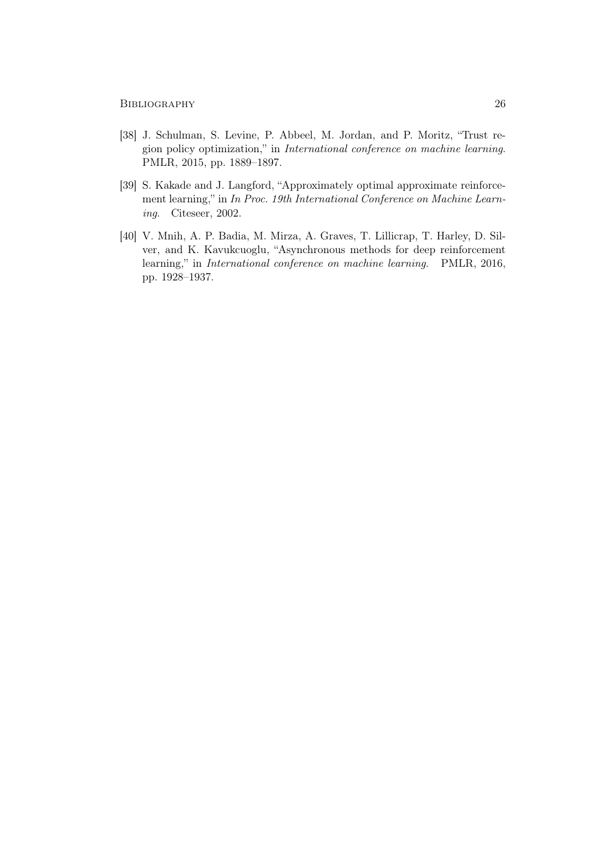- <span id="page-30-0"></span>[38] J. Schulman, S. Levine, P. Abbeel, M. Jordan, and P. Moritz, "Trust region policy optimization," in International conference on machine learning. PMLR, 2015, pp. 1889–1897.
- <span id="page-30-1"></span>[39] S. Kakade and J. Langford, "Approximately optimal approximate reinforcement learning," in In Proc. 19th International Conference on Machine Learning. Citeseer, 2002.
- <span id="page-30-2"></span>[40] V. Mnih, A. P. Badia, M. Mirza, A. Graves, T. Lillicrap, T. Harley, D. Silver, and K. Kavukcuoglu, "Asynchronous methods for deep reinforcement learning," in International conference on machine learning. PMLR, 2016, pp. 1928–1937.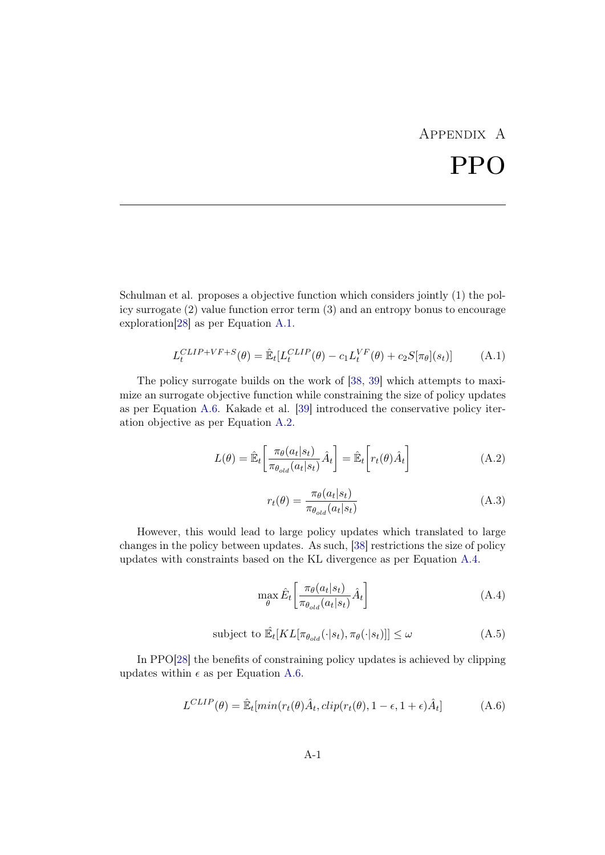# Appendix A PPO

<span id="page-31-0"></span>Schulman et al. proposes a objective function which considers jointly (1) the policy surrogate (2) value function error term (3) and an entropy bonus to encourage exploration[\[28\]](#page-29-2) as per Equation [A.1.](#page-31-1)

<span id="page-31-1"></span>
$$
L_t^{CLIP+VF+S}(\theta) = \hat{\mathbb{E}}_t[L_t^{CLIP}(\theta) - c_1 L_t^{VF}(\theta) + c_2 S[\pi_{\theta}](s_t)] \tag{A.1}
$$

The policy surrogate builds on the work of [\[38,](#page-30-0) [39\]](#page-30-1) which attempts to maximize an surrogate objective function while constraining the size of policy updates as per Equation [A.6.](#page-31-2) Kakade et al. [\[39\]](#page-30-1) introduced the conservative policy iteration objective as per Equation [A.2.](#page-31-3)

<span id="page-31-3"></span>
$$
L(\theta) = \hat{\mathbb{E}}_t \left[ \frac{\pi_{\theta}(a_t|s_t)}{\pi_{\theta_{old}}(a_t|s_t)} \hat{A}_t \right] = \hat{\mathbb{E}}_t \left[ r_t(\theta) \hat{A}_t \right]
$$
(A.2)

$$
r_t(\theta) = \frac{\pi_{\theta}(a_t|s_t)}{\pi_{\theta_{old}}(a_t|s_t)}
$$
(A.3)

However, this would lead to large policy updates which translated to large changes in the policy between updates. As such, [\[38\]](#page-30-0) restrictions the size of policy updates with constraints based on the KL divergence as per Equation [A.4.](#page-31-4)

<span id="page-31-4"></span>
$$
\max_{\theta} \hat{E}_t \left[ \frac{\pi_{\theta}(a_t|s_t)}{\pi_{\theta_{old}}(a_t|s_t)} \hat{A}_t \right]
$$
(A.4)

subject to 
$$
\hat{\mathbb{E}}_t[KL[\pi_{\theta_{old}}(\cdot|s_t), \pi_{\theta}(\cdot|s_t)]] \leq \omega
$$
 (A.5)

In PPO[\[28\]](#page-29-2) the benefits of constraining policy updates is achieved by clipping updates within  $\epsilon$  as per Equation [A.6.](#page-31-2)

<span id="page-31-2"></span>
$$
L^{CLIP}(\theta) = \hat{\mathbb{E}}_t[min(r_t(\theta)\hat{A}_t, clip(r_t(\theta), 1 - \epsilon, 1 + \epsilon)\hat{A}_t]
$$
(A.6)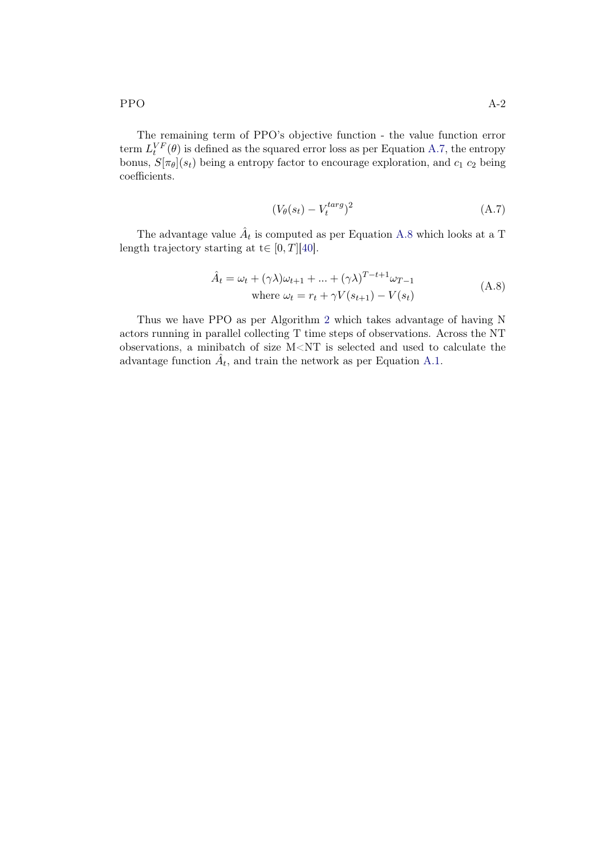The remaining term of PPO's objective function - the value function error term  $L_t^{VF}(\theta)$  is defined as the squared error loss as per Equation [A.7,](#page-32-0) the entropy bonus,  $S[\pi_{\theta}](s_t)$  being a entropy factor to encourage exploration, and  $c_1$   $c_2$  being coefficients.

<span id="page-32-0"></span>
$$
(V_{\theta}(s_t) - V_t^{targ})^2
$$
\n(A.7)

The advantage value  $\hat{A}_t$  is computed as per Equation [A.8](#page-32-1) which looks at a T length trajectory starting at  $t \in [0, T][40]$  $t \in [0, T][40]$ .

<span id="page-32-1"></span>
$$
\hat{A}_t = \omega_t + (\gamma \lambda) \omega_{t+1} + \dots + (\gamma \lambda)^{T-t+1} \omega_{T-1}
$$
\nwhere  $\omega_t = r_t + \gamma V(s_{t+1}) - V(s_t)$  (A.8)

Thus we have PPO as per Algorithm [2](#page-14-1) which takes advantage of having N actors running in parallel collecting T time steps of observations. Across the NT observations, a minibatch of size M<NT is selected and used to calculate the advantage function  $\hat{A}_t$ , and train the network as per Equation [A.1.](#page-31-1)